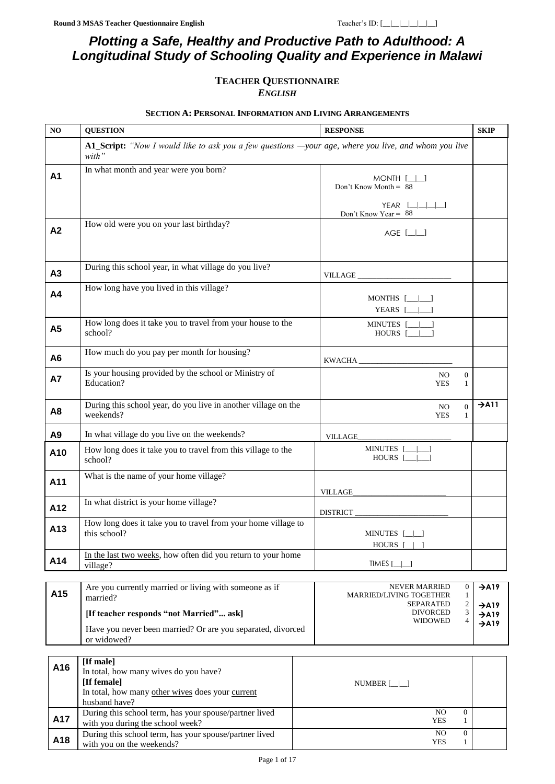# *Plotting a Safe, Healthy and Productive Path to Adulthood: A Longitudinal Study of Schooling Quality and Experience in Malawi*

### **TEACHER QUESTIONNAIRE** *ENGLISH*

#### **SECTION A: PERSONAL INFORMATION AND LIVING ARRANGEMENTS**

<span id="page-0-0"></span>

| N <sub>O</sub>  | <b>QUESTION</b>                                                                                                                        | <b>RESPONSE</b>                                                                                                                                                                                                                                                                                                                                                                                                                             | <b>SKIP</b>                            |
|-----------------|----------------------------------------------------------------------------------------------------------------------------------------|---------------------------------------------------------------------------------------------------------------------------------------------------------------------------------------------------------------------------------------------------------------------------------------------------------------------------------------------------------------------------------------------------------------------------------------------|----------------------------------------|
|                 | A1_Script: "Now I would like to ask you a few questions —your age, where you live, and whom you live<br>with"                          |                                                                                                                                                                                                                                                                                                                                                                                                                                             |                                        |
| A <sub>1</sub>  | In what month and year were you born?                                                                                                  | $MONTH$ [ $\Box$ ]<br>Don't Know Month = $88$<br>YEAR $[\_ \_ \_ \_]$<br>Don't Know Year = $88$                                                                                                                                                                                                                                                                                                                                             |                                        |
| A2              | How old were you on your last birthday?                                                                                                | $AGE$ $[\_]\_$                                                                                                                                                                                                                                                                                                                                                                                                                              |                                        |
| A3              | During this school year, in what village do you live?                                                                                  | $\label{eq:VILLAGE} \begin{minipage}{.4\linewidth} \textbf{VILLAGE} \xspace{0.03cm} \begin{minipage}{.4\linewidth} \hspace*{0.03cm} \textbf{1} & \textbf{1} & \textbf{1} & \textbf{1} & \textbf{1} & \textbf{1} & \textbf{1} & \textbf{1} & \textbf{1} & \textbf{1} & \textbf{1} & \textbf{1} & \textbf{1} & \textbf{1} & \textbf{1} & \textbf{1} & \textbf{1} & \textbf{1} & \textbf{1} & \textbf{1} & \textbf{1} & \textbf{1} & \textbf{$ |                                        |
| A <sub>4</sub>  | How long have you lived in this village?                                                                                               | $MONTHS$ $[- \ ]$<br>YEARS $[\underline{\qquad} \underline{\qquad} ]$                                                                                                                                                                                                                                                                                                                                                                       |                                        |
| A5              | How long does it take you to travel from your house to the<br>school?                                                                  | MINUTES [__ __]<br>$HOURS$ $[\_\_\_\_\]$                                                                                                                                                                                                                                                                                                                                                                                                    |                                        |
| A <sub>6</sub>  | How much do you pay per month for housing?                                                                                             | KWACHA                                                                                                                                                                                                                                                                                                                                                                                                                                      |                                        |
| <b>A7</b>       | Is your housing provided by the school or Ministry of<br>Education?                                                                    | N <sub>O</sub><br>$\boldsymbol{0}$<br><b>YES</b><br>$\mathbf{1}$                                                                                                                                                                                                                                                                                                                                                                            |                                        |
| A8              | During this school year, do you live in another village on the<br>weekends?                                                            | $\overline{0}$<br>N <sub>O</sub><br><b>YES</b><br>$\mathbf{1}$                                                                                                                                                                                                                                                                                                                                                                              | $\rightarrow$ A11                      |
| A <sub>9</sub>  | In what village do you live on the weekends?                                                                                           | <b>VILLAGE</b>                                                                                                                                                                                                                                                                                                                                                                                                                              |                                        |
| A10             | How long does it take you to travel from this village to the<br>school?                                                                | MINUTES [_____]<br>HOURS [_____]                                                                                                                                                                                                                                                                                                                                                                                                            |                                        |
| A11             | What is the name of your home village?                                                                                                 | VILLAGE                                                                                                                                                                                                                                                                                                                                                                                                                                     |                                        |
| A12             | In what district is your home village?                                                                                                 |                                                                                                                                                                                                                                                                                                                                                                                                                                             |                                        |
| A <sub>13</sub> | How long does it take you to travel from your home village to<br>this school?                                                          | MINUTES [_ _]<br>HOURS [                                                                                                                                                                                                                                                                                                                                                                                                                    |                                        |
| A14             | In the last two weeks, how often did you return to your home<br>village?                                                               | TIMES $[\_]\_]$                                                                                                                                                                                                                                                                                                                                                                                                                             |                                        |
| A15             | Are you currently married or living with someone as if<br>married?                                                                     | <b>NEVER MARRIED</b><br>$\boldsymbol{0}$<br>$\mathbf{1}$<br><b>MARRIED/LIVING TOGETHER</b><br>$\boldsymbol{2}$<br><b>SEPARATED</b>                                                                                                                                                                                                                                                                                                          | $\rightarrow$ A19<br>$\rightarrow$ A19 |
|                 | [If teacher responds "not Married" ask]                                                                                                | 3<br><b>DIVORCED</b><br><b>WIDOWED</b><br>$\overline{4}$                                                                                                                                                                                                                                                                                                                                                                                    | $\rightarrow$ A19<br>$\rightarrow$ A19 |
|                 | Have you never been married? Or are you separated, divorced<br>or widowed?                                                             |                                                                                                                                                                                                                                                                                                                                                                                                                                             |                                        |
| A16             | [If male]<br>In total, how many wives do you have?<br>[If female]<br>In total, how many other wives does your current<br>husband have? | NUMBER $[\_]\_$                                                                                                                                                                                                                                                                                                                                                                                                                             |                                        |
| A17             | During this school term, has your spouse/partner lived<br>with you during the school week?                                             | N <sub>O</sub><br>$\overline{0}$<br><b>YES</b><br>1                                                                                                                                                                                                                                                                                                                                                                                         |                                        |
| A18             | During this school term, has your spouse/partner lived<br>with you on the weekends?                                                    | $\rm NO$<br>$\overline{0}$<br><b>YES</b><br>$\mathbf{1}$                                                                                                                                                                                                                                                                                                                                                                                    |                                        |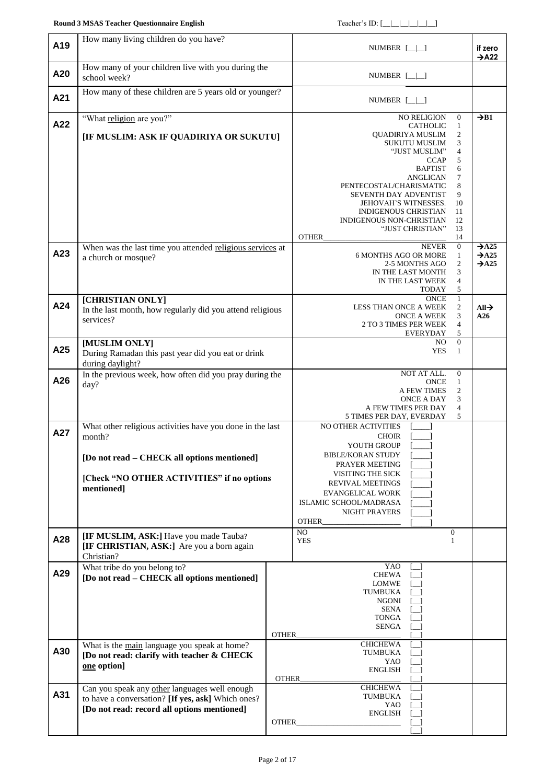<span id="page-1-2"></span><span id="page-1-1"></span><span id="page-1-0"></span>

| A19 | How many living children do you have?                                                                                                                                          |                 | NUMBER $[\_]\_$                                                                                                                                                                                                                                                                                                                                                                                                                                                               | if zero<br>$\rightarrow$ A22                                |
|-----|--------------------------------------------------------------------------------------------------------------------------------------------------------------------------------|-----------------|-------------------------------------------------------------------------------------------------------------------------------------------------------------------------------------------------------------------------------------------------------------------------------------------------------------------------------------------------------------------------------------------------------------------------------------------------------------------------------|-------------------------------------------------------------|
| A20 | How many of your children live with you during the<br>school week?                                                                                                             |                 | NUMBER $[\_]\_$                                                                                                                                                                                                                                                                                                                                                                                                                                                               |                                                             |
| A21 | How many of these children are 5 years old or younger?                                                                                                                         | NUMBER $[\_]\_$ |                                                                                                                                                                                                                                                                                                                                                                                                                                                                               |                                                             |
| A22 | "What religion are you?"<br>[IF MUSLIM: ASK IF QUADIRIYA OR SUKUTU]                                                                                                            |                 | <b>NO RELIGION</b><br>$\boldsymbol{0}$<br><b>CATHOLIC</b><br>$\mathbf{1}$<br><b>QUADIRIYA MUSLIM</b><br>2<br>3<br><b>SUKUTU MUSLIM</b><br>$\overline{4}$<br>"JUST MUSLIM"<br><b>CCAP</b><br>5<br>6<br><b>BAPTIST</b><br>7<br>ANGLICAN<br>8<br>PENTECOSTAL/CHARISMATIC<br><b>SEVENTH DAY ADVENTIST</b><br>9<br>10<br><b>JEHOVAH'S WITNESSES.</b><br><b>INDIGENOUS CHRISTIAN</b><br>11<br><b>INDIGENOUS NON-CHRISTIAN</b><br>12<br>"JUST CHRISTIAN"<br>13<br><b>OTHER</b><br>14 | $\rightarrow$ B1                                            |
| A23 | When was the last time you attended religious services at<br>a church or mosque?                                                                                               |                 | $\mathbf{0}$<br><b>NEVER</b><br><b>6 MONTHS AGO OR MORE</b><br>1<br>$\overline{c}$<br>2-5 MONTHS AGO<br>3<br>IN THE LAST MONTH<br>$\overline{4}$<br>IN THE LAST WEEK<br>TODAY<br>5                                                                                                                                                                                                                                                                                            | $\rightarrow$ A25<br>$\rightarrow$ A25<br>$\rightarrow$ A25 |
| A24 | [CHRISTIAN ONLY]<br>In the last month, how regularly did you attend religious<br>services?                                                                                     |                 | $\mathbf{1}$<br><b>ONCE</b><br>$\overline{c}$<br>LESS THAN ONCE A WEEK<br>3<br>ONCE A WEEK<br>2 TO 3 TIMES PER WEEK<br>4<br>5<br>EVERYDAY                                                                                                                                                                                                                                                                                                                                     | All $\rightarrow$<br>A26                                    |
| A25 | [MUSLIM ONLY]<br>During Ramadan this past year did you eat or drink<br>during daylight?                                                                                        |                 | $\mathbf{0}$<br>NO.<br><b>YES</b><br>1                                                                                                                                                                                                                                                                                                                                                                                                                                        |                                                             |
| A26 | In the previous week, how often did you pray during the<br>day?                                                                                                                |                 | NOT AT ALL.<br>$\overline{0}$<br><b>ONCE</b><br>$\mathbf{1}$<br>2<br>A FEW TIMES<br>ONCE A DAY<br>3<br>A FEW TIMES PER DAY<br>$\overline{4}$<br>5<br>5 TIMES PER DAY, EVERDAY                                                                                                                                                                                                                                                                                                 |                                                             |
| A27 | What other religious activities have you done in the last<br>month?<br>[Do not read - CHECK all options mentioned]<br>[Check "NO OTHER ACTIVITIES" if no options<br>mentioned] |                 | <b>NO OTHER ACTIVITIES</b><br><b>CHOIR</b><br>YOUTH GROUP<br><b>BIBLE/KORAN STUDY</b><br>PRAYER MEETING<br>VISITING THE SICK<br><b>REVIVAL MEETINGS</b><br><b>EVANGELICAL WORK</b><br>ISLAMIC SCHOOL/MADRASA<br><b>NIGHT PRAYERS</b><br><b>OTHER</b>                                                                                                                                                                                                                          |                                                             |
| A28 | [IF MUSLIM, ASK:] Have you made Tauba?<br>[IF CHRISTIAN, ASK:] Are you a born again<br>Christian?                                                                              |                 | NO<br>$\boldsymbol{0}$<br><b>YES</b><br>1                                                                                                                                                                                                                                                                                                                                                                                                                                     |                                                             |
| A29 | What tribe do you belong to?<br>[Do not read – CHECK all options mentioned]                                                                                                    | <b>OTHER</b>    | YAO<br><b>CHEWA</b><br>LOMWE<br>TUMBUKA<br><b>NGONI</b><br>SENA<br><b>TONGA</b><br>SENGA                                                                                                                                                                                                                                                                                                                                                                                      |                                                             |
| A30 | What is the main language you speak at home?<br>[Do not read: clarify with teacher & CHECK<br>one option]                                                                      | OTHER           | <b>CHICHEWA</b><br><b>TUMBUKA</b><br>YAO<br><b>ENGLISH</b>                                                                                                                                                                                                                                                                                                                                                                                                                    |                                                             |
| A31 | Can you speak any other languages well enough<br>to have a conversation? [If yes, ask] Which ones?<br>[Do not read: record all options mentioned]                              | <b>OTHER</b>    | <b>CHICHEWA</b><br>TUMBUKA<br>YAO<br>ENGLISH                                                                                                                                                                                                                                                                                                                                                                                                                                  |                                                             |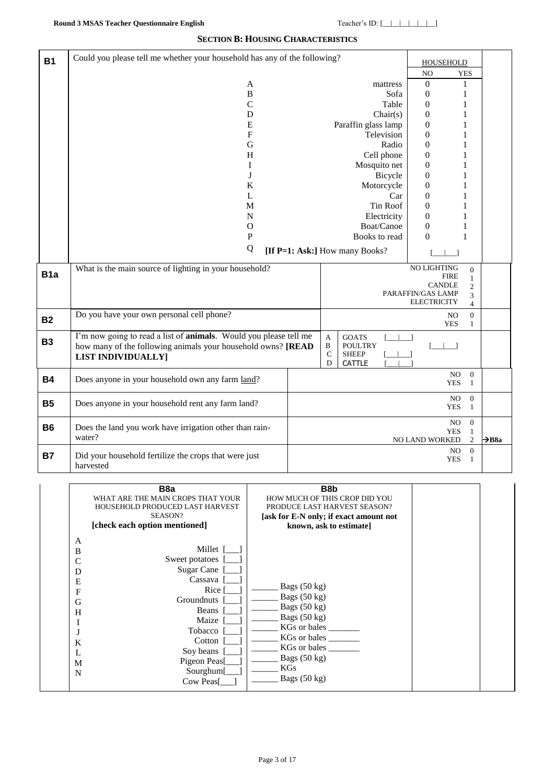#### **SECTION B: HOUSING CHARACTERISTICS**

| <b>B1</b>        | Could you please tell me whether your household has any of the following? |                              |                                | <b>HOUSEHOLD</b>             |                   |                   |
|------------------|---------------------------------------------------------------------------|------------------------------|--------------------------------|------------------------------|-------------------|-------------------|
|                  |                                                                           |                              |                                | N <sub>O</sub>               | <b>YES</b>        |                   |
|                  | A                                                                         |                              | mattress                       | $\boldsymbol{0}$             | 1                 |                   |
|                  | $\bf{B}$                                                                  |                              | Sofa                           | $\boldsymbol{0}$             | $\mathbf{1}$      |                   |
|                  | $\mathcal{C}$                                                             |                              | Table                          | $\boldsymbol{0}$             | 1                 |                   |
|                  | D                                                                         |                              | Chair(s)                       | $\boldsymbol{0}$             | $\mathbf{1}$      |                   |
|                  | ${\bf E}$                                                                 |                              | Paraffin glass lamp            | $\boldsymbol{0}$             | $\mathbf{1}$      |                   |
|                  | $\mathbf{F}$                                                              |                              | Television                     | $\mathbf{0}$                 | 1                 |                   |
|                  | G                                                                         |                              | Radio                          | $\boldsymbol{0}$             | 1                 |                   |
|                  | H                                                                         |                              | Cell phone                     | $\mathbf{0}$                 | $\mathbf{1}$      |                   |
|                  | I                                                                         |                              | Mosquito net                   | $\boldsymbol{0}$             | 1                 |                   |
|                  | J                                                                         |                              | Bicycle                        | $\boldsymbol{0}$             | 1                 |                   |
|                  | $\bf K$                                                                   |                              | Motorcycle                     | $\boldsymbol{0}$             | $\mathbf{1}$      |                   |
|                  | L                                                                         |                              | Car                            | $\mathbf{0}$                 | 1                 |                   |
|                  | M                                                                         |                              | Tin Roof                       | $\mathbf{0}$                 | 1                 |                   |
|                  | $\mathbf N$                                                               |                              | Electricity                    | $\boldsymbol{0}$             | 1                 |                   |
|                  | $\mathbf O$                                                               |                              | Boat/Canoe                     | $\boldsymbol{0}$             | 1                 |                   |
|                  | $\mathbf{P}$                                                              |                              | Books to read                  | $\Omega$                     | 1                 |                   |
|                  | Q                                                                         |                              | [If P=1: Ask:] How many Books? |                              |                   |                   |
|                  | What is the main source of lighting in your household?                    |                              |                                | NO LIGHTING                  | $\Omega$          |                   |
| B <sub>1</sub> a |                                                                           |                              |                                | <b>FIRE</b><br><b>CANDLE</b> | $\mathbf{1}$      |                   |
|                  |                                                                           |                              |                                | PARAFFIN/GAS LAMP            | $\mathbf{2}$<br>3 |                   |
|                  |                                                                           |                              |                                | <b>ELECTRICITY</b>           | $\overline{4}$    |                   |
| <b>B2</b>        | Do you have your own personal cell phone?                                 |                              |                                | N <sub>O</sub>               | $\mathbf{0}$      |                   |
|                  |                                                                           |                              |                                | <b>YES</b>                   | $\mathbf{1}$      |                   |
| <b>B3</b>        | I'm now going to read a list of <b>animals</b> . Would you please tell me | $\mathbf{A}$                 | <b>GOATS</b>                   |                              |                   |                   |
|                  | how many of the following animals your household owns? [READ              | $\, {\bf B}$<br>$\mathsf{C}$ | <b>POULTRY</b>                 |                              |                   |                   |
|                  | <b>LIST INDIVIDUALLY]</b>                                                 | D                            | <b>SHEEP</b><br>CATTLE         |                              |                   |                   |
|                  |                                                                           |                              |                                | $_{\rm NO}$                  | $\boldsymbol{0}$  |                   |
| <b>B4</b>        | Does anyone in your household own any farm land?                          |                              |                                | <b>YES</b>                   | 1                 |                   |
|                  |                                                                           |                              |                                | NO                           | $\overline{0}$    |                   |
| <b>B5</b>        | Does anyone in your household rent any farm land?                         |                              |                                | <b>YES</b>                   | $\mathbf{1}$      |                   |
|                  |                                                                           |                              |                                | NO                           | $\mathbf{0}$      |                   |
| <b>B6</b>        | Does the land you work have irrigation other than rain-                   |                              |                                | <b>YES</b>                   | $\mathbf{1}$      |                   |
|                  | water?                                                                    |                              |                                | NO LAND WORKED               | 2                 | $\rightarrow$ B8a |
| <b>B7</b>        |                                                                           |                              |                                | NO                           | $\boldsymbol{0}$  |                   |
|                  | Did your household fertilize the crops that were just<br>harvested        |                              |                                | <b>YES</b>                   | -1                |                   |

|   | B <sub>8</sub> a                  | B <sub>8</sub> b                       |  |
|---|-----------------------------------|----------------------------------------|--|
|   | WHAT ARE THE MAIN CROPS THAT YOUR | HOW MUCH OF THIS CROP DID YOU          |  |
|   | HOUSEHOLD PRODUCED LAST HARVEST   | PRODUCE LAST HARVEST SEASON?           |  |
|   | SEASON?                           | [ask for E-N only; if exact amount not |  |
|   | [check each option mentioned]     | known, ask to estimate                 |  |
| A |                                   |                                        |  |
| B | Millet [                          |                                        |  |
| C | Sweet potatoes                    |                                        |  |
| D | Sugar Cane                        |                                        |  |
| Ε | Cassava                           |                                        |  |
| F | Rice                              | Bags $(50 \text{ kg})$                 |  |
| G | Groundnuts                        | Bags $(50 \text{ kg})$                 |  |
| H | Beans                             | Bags $(50 \text{ kg})$                 |  |
|   | Maize                             | Bags $(50 \text{ kg})$                 |  |
|   | Tobacco                           | KGs or bales                           |  |
| K | Cotton                            | KGs or bales                           |  |
| L | Soy beans                         | KGs or bales                           |  |
| M | Pigeon Peas                       | Bags $(50 \text{ kg})$                 |  |
| N | Sourghum[                         | KGs                                    |  |
|   | Cow Peas                          | Bags $(50 \text{ kg})$                 |  |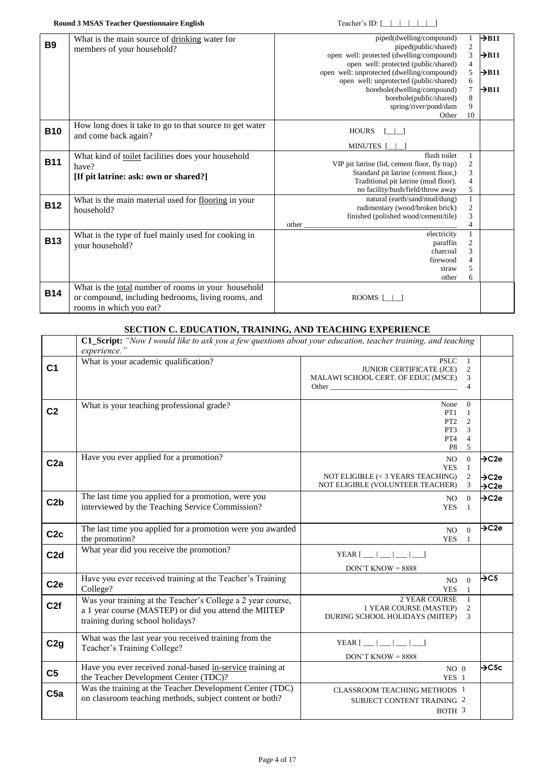| <b>B9</b>  | What is the main source of drinking water for           | piped(dwelling/compound)                      | 1                | $\rightarrow$ B11 |
|------------|---------------------------------------------------------|-----------------------------------------------|------------------|-------------------|
|            | members of your household?                              | piped(public/shared)                          | $\frac{2}{3}$    |                   |
|            |                                                         | open well: protected (dwelling/compound)      |                  | $\rightarrow$ B11 |
|            |                                                         | open well: protected (public/shared)          | $\overline{4}$   |                   |
|            |                                                         | open well: unprotected (dwelling/compound)    | $\mathfrak s$    | $\rightarrow$ B11 |
|            |                                                         | open well: unprotected (public/shared)        | 6                |                   |
|            |                                                         | borehole(dwelling/compound)                   | $\boldsymbol{7}$ | $\rightarrow$ B11 |
|            |                                                         | borehole(public/shared)                       | 8                |                   |
|            |                                                         | spring/river/pond/dam                         | 9                |                   |
|            |                                                         | Other                                         | 10               |                   |
|            | How long does it take to go to that source to get water |                                               |                  |                   |
| <b>B10</b> | and come back again?                                    | <b>HOURS</b>                                  |                  |                   |
|            |                                                         | <b>MINUTES</b>                                |                  |                   |
|            | What kind of toilet facilities does your household      | flush toilet                                  | 1                |                   |
| <b>B11</b> | have?                                                   | VIP pit latrine (lid, cement floor, fly trap) | $\boldsymbol{2}$ |                   |
|            |                                                         | Standard pit latrine (cement floor,)          | 3                |                   |
|            | [If pit latrine: ask: own or shared?]                   | Traditional pit latrine (mud floor).          | $\overline{4}$   |                   |
|            |                                                         | no facility/bush/field/throw away             | 5                |                   |
|            | What is the main material used for flooring in your     | natural (earth/sand/mud/dung)                 | $\mathbf{1}$     |                   |
| <b>B12</b> | household?                                              | rudimentary (wood/broken brick)               | $\sqrt{2}$       |                   |
|            |                                                         | finished (polished wood/cement/tile)          | 3                |                   |
|            |                                                         | other                                         | $\overline{4}$   |                   |
|            | What is the type of fuel mainly used for cooking in     | electricity                                   | $\mathbf{1}$     |                   |
| <b>B13</b> | your household?                                         | paraffin                                      | $\overline{c}$   |                   |
|            |                                                         | charcoal                                      | 3                |                   |
|            |                                                         | firewood                                      | $\overline{4}$   |                   |
|            |                                                         | straw                                         | 5                |                   |
|            |                                                         | other                                         | 6                |                   |
|            | What is the total number of rooms in your household     |                                               |                  |                   |
| <b>B14</b> | or compound, including bedrooms, living rooms, and      | ROOMS $\lceil$                                |                  |                   |
|            | rooms in which you eat?                                 |                                               |                  |                   |
|            |                                                         |                                               |                  |                   |

### **SECTION C. EDUCATION, TRAINING, AND TEACHING EXPERIENCE**

|                  | C1_Script: "Now I would like to ask you a few questions about your education, teacher training, and teaching<br>experience."                             |                                                                                            |                                                             |                                                             |
|------------------|----------------------------------------------------------------------------------------------------------------------------------------------------------|--------------------------------------------------------------------------------------------|-------------------------------------------------------------|-------------------------------------------------------------|
| C <sub>1</sub>   | What is your academic qualification?                                                                                                                     | <b>PSLC</b><br><b>JUNIOR CERTIFICATE (JCE)</b><br>MALAWI SCHOOL CERT. OF EDUC (MSCE)       | $\mathbf{1}$<br>$\overline{c}$<br>3<br>$\overline{4}$       |                                                             |
| C <sub>2</sub>   | What is your teaching professional grade?                                                                                                                | None<br>PT1<br>PT <sub>2</sub><br>PT3<br>PT <sub>4</sub><br>P <sub>8</sub>                 | $\Omega$<br>1<br>$\overline{2}$<br>3<br>$\overline{4}$<br>5 |                                                             |
| C <sub>2a</sub>  | Have you ever applied for a promotion?                                                                                                                   | NO.<br><b>YES</b><br>NOT ELIGIBLE (< 3 YEARS TEACHING)<br>NOT ELIGIBLE (VOLUNTEER TEACHER) | $\mathbf{0}$<br>$\mathbf{1}$<br>2<br>3                      | $\rightarrow$ C2e<br>$\rightarrow$ C2e<br>$\rightarrow$ C2e |
| C2b              | The last time you applied for a promotion, were you<br>interviewed by the Teaching Service Commission?                                                   | NO.<br><b>YES</b>                                                                          | $\Omega$<br>-1                                              | $\rightarrow$ C2e                                           |
| C2c              | The last time you applied for a promotion were you awarded<br>the promotion?                                                                             | NO.<br><b>YES</b>                                                                          | $\Omega$<br>$\mathbf{1}$                                    | $\overline{\triangleright}$ C2e                             |
| C <sub>2</sub> d | What year did you receive the promotion?                                                                                                                 | YEAR $[$ __   __   __   __  <br>$DON'T$ KNOW = 8888                                        |                                                             |                                                             |
| C <sub>2e</sub>  | Have you ever received training at the Teacher's Training<br>College?                                                                                    | NO.<br><b>YES</b>                                                                          | $\mathbf{0}$<br>$\mathbf{1}$                                | $\rightarrow$ C5                                            |
| C2f              | Was your training at the Teacher's College a 2 year course,<br>a 1 year course (MASTEP) or did you attend the MIITEP<br>training during school holidays? | <b>2 YEAR COURSE</b><br>1 YEAR COURSE (MASTEP)<br>DURING SCHOOL HOLIDAYS (MIITEP)          | $\mathbf{1}$<br>2<br>3                                      |                                                             |
| C2g              | What was the last year you received training from the<br>Teacher's Training College?                                                                     | YEAR $[$ __   __   __   __  <br>$DON'T$ KNOW = 8888                                        |                                                             |                                                             |
| C <sub>5</sub>   | Have you ever received zonal-based in-service training at<br>the Teacher Development Center (TDC)?                                                       | NO <sub>0</sub><br>YES 1                                                                   |                                                             | $\rightarrow$ C5c                                           |
| C5a              | Was the training at the Teacher Development Center (TDC)<br>on classroom teaching methods, subject content or both?                                      | <b>CLASSROOM TEACHING METHODS 1</b><br>SUBJECT CONTENT TRAINING 2<br>BOTH 3                |                                                             |                                                             |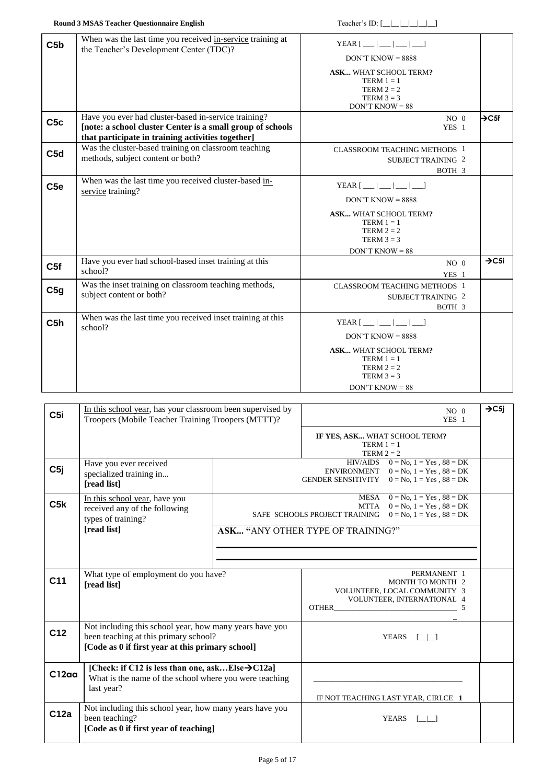|                 | <b>Round 3 MSAS Teacher Questionnaire English</b>                                                                                                                       | Teacher's ID: $[\_   \_   \_   \_   \_ ]$                                                                            |                   |
|-----------------|-------------------------------------------------------------------------------------------------------------------------------------------------------------------------|----------------------------------------------------------------------------------------------------------------------|-------------------|
| C5b             | When was the last time you received in-service training at<br>the Teacher's Development Center (TDC)?                                                                   | YEAR $[$ __   __   __   __  <br>$DON'T$ KNOW = 8888                                                                  |                   |
|                 |                                                                                                                                                                         | <b>ASK</b> WHAT SCHOOL TERM?<br>TERM $1 = 1$<br>TERM $2 = 2$<br>TERM $3 = 3$<br>$DON'T$ KNOW = 88                    |                   |
| C <sub>5c</sub> | Have you ever had cluster-based in-service training?<br>[note: a school cluster Center is a small group of schools<br>that participate in training activities together] | NO <sub>0</sub><br>YES 1                                                                                             | $\rightarrow$ C5f |
| C5d             | Was the cluster-based training on classroom teaching<br>methods, subject content or both?                                                                               | <b>CLASSROOM TEACHING METHODS 1</b><br><b>SUBJECT TRAINING 2</b><br>BOTH 3                                           |                   |
| C <sub>5e</sub> | When was the last time you received cluster-based in-<br>service training?                                                                                              | YEAR $\lceil$ $\lfloor$ $\lfloor$ $\lfloor$ $\lfloor$ $\lfloor$ $\lfloor$ $\lfloor$ $\rfloor$<br>$DON'T$ KNOW = 8888 |                   |
|                 |                                                                                                                                                                         | <b>ASK</b> WHAT SCHOOL TERM?<br>TERM $1 = 1$<br>TERM $2 = 2$<br>TERM $3 = 3$<br>$DON'T$ KNOW = 88                    |                   |
| C5f             | Have you ever had school-based inset training at this<br>school?                                                                                                        | NO <sub>0</sub><br>YES 1                                                                                             | $\rightarrow$ C5i |
| C5g             | Was the inset training on classroom teaching methods,<br>subject content or both?                                                                                       | <b>CLASSROOM TEACHING METHODS 1</b><br><b>SUBJECT TRAINING 2</b><br>BOTH 3                                           |                   |
| C5h             | When was the last time you received inset training at this<br>school?                                                                                                   | YEAR $[$ __   __   __   __  <br>$DON'T$ KNOW = 8888<br><b>ASK</b> WHAT SCHOOL TERM?<br>TERM $1 = 1$<br>TERM $2 = 2$  |                   |
|                 |                                                                                                                                                                         | TERM $3 = 3$<br>$DON'T$ KNOW = 88                                                                                    |                   |

| C <sub>5i</sub> | In this school year, has your classroom been supervised by<br>Troopers (Mobile Teacher Training Troopers (MTTT)?                                     |                                                                                                                                                                                           |                                                               | NO <sub>0</sub><br>YES <sub>1</sub>                                                           | $\rightarrow$ C5i |
|-----------------|------------------------------------------------------------------------------------------------------------------------------------------------------|-------------------------------------------------------------------------------------------------------------------------------------------------------------------------------------------|---------------------------------------------------------------|-----------------------------------------------------------------------------------------------|-------------------|
|                 |                                                                                                                                                      |                                                                                                                                                                                           | IF YES, ASK WHAT SCHOOL TERM?<br>TERM $1 = 1$<br>TERM $2 = 2$ |                                                                                               |                   |
| C5j             | Have you ever received<br>specialized training in<br><b>Tread list1</b>                                                                              | HIV/AIDS $0 = No$ , $1 = Yes$ , $88 = DK$<br>ENVIRONMENT $0 = No$ , $1 = Yes$ , $88 = DK$<br>$0 = No, 1 = Yes, 88 = DK$<br>GENDER SENSITIVITY                                             |                                                               |                                                                                               |                   |
| C5k             | In this school year, have you<br>received any of the following<br>types of training?<br>[read list]                                                  | $0 = No$ , $1 = Yes$ , $88 = DK$<br>MESA<br><b>MTTA</b><br>$0 = No, 1 = Yes, 88 = DK$<br>SAFE SCHOOLS PROJECT TRAINING<br>$0 = No, 1 = Yes, 88 = DK$<br>ASK "ANY OTHER TYPE OF TRAINING?" |                                                               |                                                                                               |                   |
| C <sub>11</sub> | What type of employment do you have?<br>[read list]                                                                                                  |                                                                                                                                                                                           |                                                               | PERMANENT 1<br>MONTH TO MONTH 2<br>VOLUNTEER, LOCAL COMMUNITY 3<br>VOLUNTEER, INTERNATIONAL 4 |                   |
| C <sub>12</sub> | Not including this school year, how many years have you<br>been teaching at this primary school?<br>[Code as 0 if first year at this primary school] |                                                                                                                                                                                           |                                                               | YEARS [   ]                                                                                   |                   |
| C12aa           | [Check: if C12 is less than one, askElse $\rightarrow$ C12a]<br>What is the name of the school where you were teaching<br>last year?                 |                                                                                                                                                                                           |                                                               | IF NOT TEACHING LAST YEAR, CIRLCE 1                                                           |                   |
| C12a            | Not including this school year, how many years have you<br>been teaching?<br>[Code as 0 if first year of teaching]                                   |                                                                                                                                                                                           |                                                               | <b>YEARS</b>                                                                                  |                   |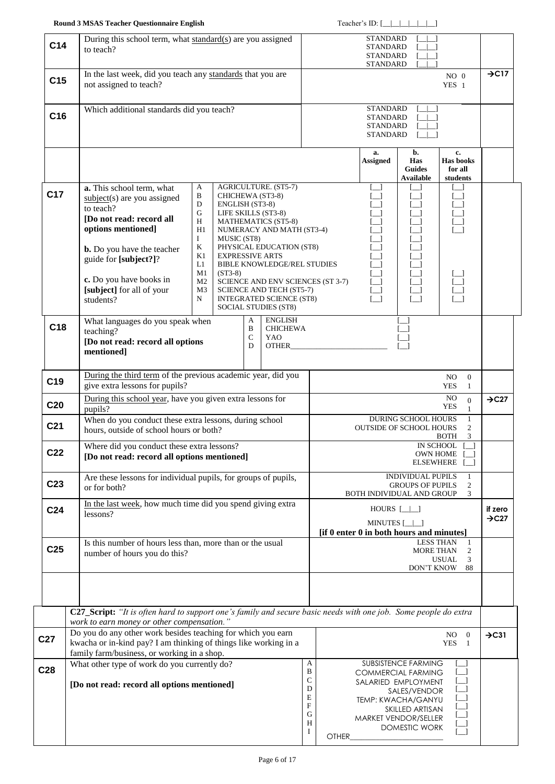| C <sub>14</sub> | During this school term, what standard(s) are you assigned<br>to teach?                                                                                                                                                                                                                                                                                                                                                                                                                                                                                |                                                                                                                                                                                                      |              | <b>STANDARD</b><br><b>STANDARD</b><br><b>STANDARD</b><br><b>STANDARD</b> |                                                                                                                                                                           |                                           |                              |
|-----------------|--------------------------------------------------------------------------------------------------------------------------------------------------------------------------------------------------------------------------------------------------------------------------------------------------------------------------------------------------------------------------------------------------------------------------------------------------------------------------------------------------------------------------------------------------------|------------------------------------------------------------------------------------------------------------------------------------------------------------------------------------------------------|--------------|--------------------------------------------------------------------------|---------------------------------------------------------------------------------------------------------------------------------------------------------------------------|-------------------------------------------|------------------------------|
| C <sub>15</sub> | In the last week, did you teach any standards that you are<br>not assigned to teach?                                                                                                                                                                                                                                                                                                                                                                                                                                                                   |                                                                                                                                                                                                      |              |                                                                          |                                                                                                                                                                           | $NO$ $0$<br>$YES$ 1                       | $\rightarrow$ C17            |
| C16             | Which additional standards did you teach?                                                                                                                                                                                                                                                                                                                                                                                                                                                                                                              |                                                                                                                                                                                                      |              | <b>STANDARD</b><br><b>STANDARD</b><br>STANDARD<br><b>STANDARD</b>        |                                                                                                                                                                           |                                           |                              |
|                 |                                                                                                                                                                                                                                                                                                                                                                                                                                                                                                                                                        |                                                                                                                                                                                                      |              | a.<br><b>Assigned</b>                                                    | b.<br>Has<br><b>Guides</b><br><b>Available</b>                                                                                                                            | c.<br>Has books<br>for all<br>students    |                              |
| C <sub>17</sub> | AGRICULTURE. (ST5-7)<br>a. This school term, what<br>A<br>B<br>CHICHEWA (ST3-8)<br>$subject(s)$ are you assigned<br>D<br>ENGLISH (ST3-8)<br>to teach?<br>G<br>LIFE SKILLS (ST3-8)<br>[Do not read: record all<br>Н<br><b>MATHEMATICS (ST5-8)</b><br>options mentioned]<br>H1<br>Ι<br>MUSIC (ST8)<br>K<br><b>b.</b> Do you have the teacher<br>K1<br><b>EXPRESSIVE ARTS</b><br>guide for [subject?]?<br>L1<br>$(ST3-8)$<br>M1<br>c. Do you have books in<br>M2<br>[subject] for all of your<br>M <sub>3</sub><br>N<br>students?<br>SOCIAL STUDIES (ST8) | NUMERACY AND MATH (ST3-4)<br>PHYSICAL EDUCATION (ST8)<br>BIBLE KNOWLEDGE/REL STUDIES<br>SCIENCE AND ENV SCIENCES (ST 3-7)<br>ப<br><b>SCIENCE AND TECH (ST5-7)</b><br><b>INTEGRATED SCIENCE (ST8)</b> |              |                                                                          |                                                                                                                                                                           |                                           |                              |
| C18             | <b>ENGLISH</b><br>What languages do you speak when<br>A<br>B<br>teaching?<br>${\bf C}$<br>YAO<br>[Do not read: record all options<br>D<br><b>OTHER</b><br>mentioned]                                                                                                                                                                                                                                                                                                                                                                                   | <b>CHICHEWA</b>                                                                                                                                                                                      |              |                                                                          |                                                                                                                                                                           |                                           |                              |
| C <sub>19</sub> | During the third term of the previous academic year, did you<br>give extra lessons for pupils?                                                                                                                                                                                                                                                                                                                                                                                                                                                         |                                                                                                                                                                                                      |              |                                                                          |                                                                                                                                                                           | $\mathbf{0}$<br>NO.<br><b>YES</b><br>1    |                              |
| C <sub>20</sub> | During this school year, have you given extra lessons for<br>pupils?                                                                                                                                                                                                                                                                                                                                                                                                                                                                                   | NO.<br>$\overline{0}$<br><b>YES</b><br>1<br>DURING SCHOOL HOURS                                                                                                                                      |              |                                                                          | $\rightarrow$ C27                                                                                                                                                         |                                           |                              |
| C <sub>21</sub> | When do you conduct these extra lessons, during school<br>hours, outside of school hours or both?                                                                                                                                                                                                                                                                                                                                                                                                                                                      |                                                                                                                                                                                                      |              |                                                                          | <b>OUTSIDE OF SCHOOL HOURS</b>                                                                                                                                            | 1<br>2<br><b>BOTH</b><br>3                |                              |
| C <sub>22</sub> | Where did you conduct these extra lessons?<br>[Do not read: record all options mentioned]                                                                                                                                                                                                                                                                                                                                                                                                                                                              |                                                                                                                                                                                                      |              |                                                                          | <b>IN SCHOOL</b><br><b>OWN HOME</b><br>ELSEWHERE                                                                                                                          |                                           |                              |
| C <sub>23</sub> | Are these lessons for individual pupils, for groups of pupils,<br>or for both?                                                                                                                                                                                                                                                                                                                                                                                                                                                                         | <b>INDIVIDUAL PUPILS</b><br>1<br><b>GROUPS OF PUPILS</b><br>2<br>BOTH INDIVIDUAL AND GROUP<br>3                                                                                                      |              |                                                                          |                                                                                                                                                                           |                                           |                              |
| C <sub>24</sub> | In the last week, how much time did you spend giving extra<br>lessons?                                                                                                                                                                                                                                                                                                                                                                                                                                                                                 | HOURS $[\_]\_]$<br>MINUTES [_ _]<br>[if 0 enter 0 in both hours and minutes]                                                                                                                         |              |                                                                          |                                                                                                                                                                           |                                           | if zero<br>$\rightarrow$ C27 |
| C <sub>25</sub> | Is this number of hours less than, more than or the usual<br>number of hours you do this?                                                                                                                                                                                                                                                                                                                                                                                                                                                              |                                                                                                                                                                                                      |              |                                                                          | <b>LESS THAN</b><br>MORE THAN<br>DON'T KNOW                                                                                                                               | -1<br>2<br><b>USUAL</b><br>3<br>88        |                              |
|                 |                                                                                                                                                                                                                                                                                                                                                                                                                                                                                                                                                        |                                                                                                                                                                                                      |              |                                                                          |                                                                                                                                                                           |                                           |                              |
|                 | C27_Script: "It is often hard to support one's family and secure basic needs with one job. Some people do extra<br>work to earn money or other compensation."                                                                                                                                                                                                                                                                                                                                                                                          |                                                                                                                                                                                                      |              |                                                                          |                                                                                                                                                                           |                                           |                              |
| C <sub>27</sub> | Do you do any other work besides teaching for which you earn<br>kwacha or in-kind pay? I am thinking of things like working in a<br>family farm/business, or working in a shop.                                                                                                                                                                                                                                                                                                                                                                        |                                                                                                                                                                                                      |              |                                                                          |                                                                                                                                                                           | $\overline{0}$<br>NO.<br><b>YES</b><br>-1 | $\rightarrow$ C31            |
| C <sub>28</sub> | What other type of work do you currently do?<br>[Do not read: record all options mentioned]                                                                                                                                                                                                                                                                                                                                                                                                                                                            | A<br>B<br>$\mathsf C$<br>D<br>E<br>$\boldsymbol{\mathrm{F}}$<br>G<br>H<br>$\bf{I}$                                                                                                                   | <b>OTHER</b> |                                                                          | SUBSISTENCE FARMING<br><b>COMMERCIAL FARMING</b><br>SALARIED EMPLOYMENT<br>SALES/VENDOR<br>TEMP: KWACHA/GANYU<br>SKILLED ARTISAN<br>MARKET VENDOR/SELLER<br>DOMESTIC WORK | - 1                                       |                              |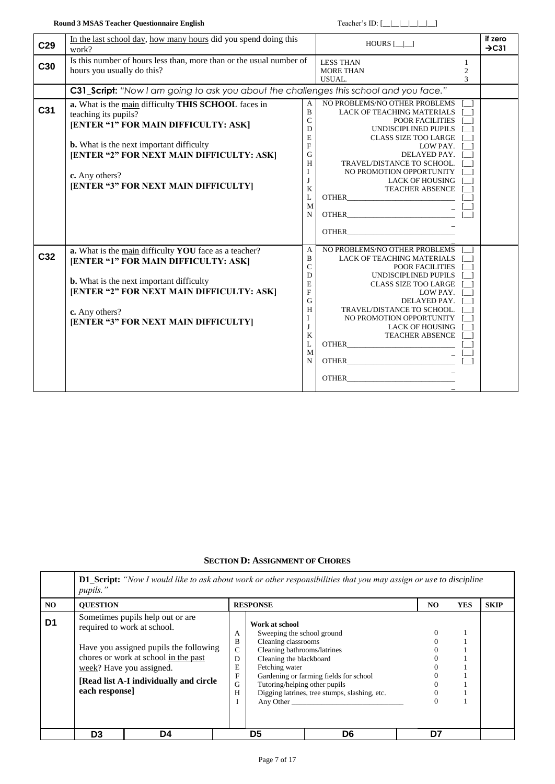| C <sub>29</sub> | In the last school day, how many hours did you spend doing this<br>work?                                                                                                                                                                                                      |                                                                                                  | $HOURS$ $\Box$                                                                                                                                                                                                                                                                                                                         |                          | if zero<br>$\rightarrow$ C31 |
|-----------------|-------------------------------------------------------------------------------------------------------------------------------------------------------------------------------------------------------------------------------------------------------------------------------|--------------------------------------------------------------------------------------------------|----------------------------------------------------------------------------------------------------------------------------------------------------------------------------------------------------------------------------------------------------------------------------------------------------------------------------------------|--------------------------|------------------------------|
| C30             | Is this number of hours less than, more than or the usual number of<br>hours you usually do this?                                                                                                                                                                             |                                                                                                  | <b>LESS THAN</b><br><b>MORE THAN</b><br>USUAL.                                                                                                                                                                                                                                                                                         | 1<br>$\overline{c}$<br>3 |                              |
|                 | C31_Script: "Now I am going to ask you about the challenges this school and you face."                                                                                                                                                                                        |                                                                                                  |                                                                                                                                                                                                                                                                                                                                        |                          |                              |
| C <sub>31</sub> | a. What is the main difficulty THIS SCHOOL faces in<br>teaching its pupils?<br>[ENTER "1" FOR MAIN DIFFICULTY: ASK]<br><b>b.</b> What is the next important difficulty<br>[ENTER "2" FOR NEXT MAIN DIFFICULTY: ASK]<br>c. Any others?<br>[ENTER "3" FOR NEXT MAIN DIFFICULTY] | A<br>$\bf{B}$<br>$\mathbf C$<br>D<br>E<br>$\overline{F}$<br>G<br>H<br>I<br>J<br>K<br>L<br>M<br>N | NO PROBLEMS/NO OTHER PROBLEMS<br><b>LACK OF TEACHING MATERIALS</b><br>POOR FACILITIES<br>UNDISCIPLINED PUPILS<br><b>CLASS SIZE TOO LARGE</b><br>LOW PAY.<br>DELAYED PAY.<br>TRAVEL/DISTANCE TO SCHOOL.<br>NO PROMOTION OPPORTUNITY<br><b>LACK OF HOUSING</b><br><b>TEACHER ABSENCE</b><br><b>OTHER</b><br><b>OTHER</b>                 |                          |                              |
|                 |                                                                                                                                                                                                                                                                               |                                                                                                  | <b>OTHER</b>                                                                                                                                                                                                                                                                                                                           |                          |                              |
| C <sub>32</sub> | a. What is the main difficulty YOU face as a teacher?<br>[ENTER "1" FOR MAIN DIFFICULTY: ASK]<br><b>b.</b> What is the next important difficulty<br>[ENTER "2" FOR NEXT MAIN DIFFICULTY: ASK]<br>c. Any others?<br>[ENTER "3" FOR NEXT MAIN DIFFICULTY]                       | A<br>$\overline{B}$<br>$\mathbf C$<br>D<br>E<br>F<br>G<br>H<br>I<br>J<br>K<br>L<br>M<br>N        | NO PROBLEMS/NO OTHER PROBLEMS<br><b>LACK OF TEACHING MATERIALS</b><br>POOR FACILITIES<br>UNDISCIPLINED PUPILS<br><b>CLASS SIZE TOO LARGE</b><br>LOW PAY.<br>DELAYED PAY.<br>TRAVEL/DISTANCE TO SCHOOL.<br>NO PROMOTION OPPORTUNITY<br><b>LACK OF HOUSING</b><br><b>TEACHER ABSENCE</b><br><b>OTHER</b><br><b>OTHER</b><br><b>OTHER</b> |                          |                              |

## **SECTION D: ASSIGNMENT OF C[HORES](../../../../../../../bmiller/Local%20Settings/Temporary%20Internet%20Files/OLK7/SQS_TeachQuest_Comments.doc#chores)**

<span id="page-6-0"></span>

|                | pupils."        |                                                                                                                                                                                                                           |                                                |                                                                                                                                                                                               | <b>D1_Script:</b> "Now I would like to ask about work or other responsibilities that you may assign or use to discipline |          |            |             |
|----------------|-----------------|---------------------------------------------------------------------------------------------------------------------------------------------------------------------------------------------------------------------------|------------------------------------------------|-----------------------------------------------------------------------------------------------------------------------------------------------------------------------------------------------|--------------------------------------------------------------------------------------------------------------------------|----------|------------|-------------|
| NO.            | <b>OUESTION</b> |                                                                                                                                                                                                                           |                                                | <b>RESPONSE</b>                                                                                                                                                                               |                                                                                                                          | NO.      | <b>YES</b> | <b>SKIP</b> |
| D <sub>1</sub> | each response   | Sometimes pupils help out or are.<br>required to work at school.<br>Have you assigned pupils the following<br>chores or work at school in the past<br>week? Have you assigned.<br>[Read list A-I individually and circle] | А<br>B<br>$\mathbf C$<br>D<br>E<br>F<br>G<br>Н | Work at school<br>Sweeping the school ground<br>Cleaning classrooms<br>Cleaning bathrooms/latrines<br>Cleaning the blackboard<br>Fetching water<br>Tutoring/helping other pupils<br>Any Other | Gardening or farming fields for school<br>Digging latrines, tree stumps, slashing, etc.                                  | $\theta$ |            |             |
|                | D <sub>3</sub>  | D4                                                                                                                                                                                                                        |                                                | D5                                                                                                                                                                                            | D6                                                                                                                       | D7       |            |             |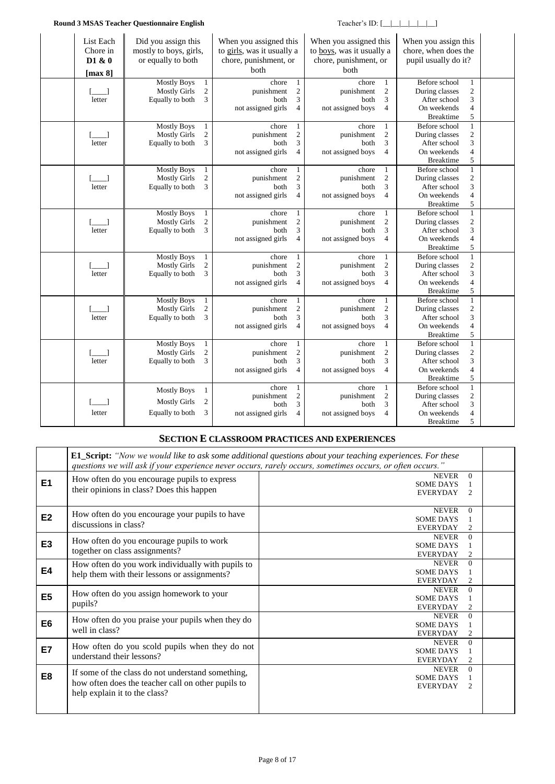#### **Round 3 MSAS Teacher Questionnaire English** Teacher's ID:  $[\_\_\_\_\_\_\_\_\$

| List Each<br>Chore in<br>D1 & 0<br>[ $max 8$ ] | Did you assign this<br>mostly to boys, girls,<br>or equally to both                                   | When you assigned this<br>to girls, was it usually a<br>chore, punishment, or<br><b>b</b> oth |                                                                 | When you assigned this<br>to boys, was it usually a<br>chore, punishment, or<br>both |                                                       | When you assign this<br>chore, when does the<br>pupil usually do it?               |                                                                              |  |
|------------------------------------------------|-------------------------------------------------------------------------------------------------------|-----------------------------------------------------------------------------------------------|-----------------------------------------------------------------|--------------------------------------------------------------------------------------|-------------------------------------------------------|------------------------------------------------------------------------------------|------------------------------------------------------------------------------|--|
| letter                                         | <b>Mostly Boys</b><br>$\mathbf{1}$<br>$\boldsymbol{2}$<br><b>Mostly Girls</b><br>Equally to both<br>3 | chore<br>punishment<br>both<br>not assigned girls                                             | $\mathbf{1}$<br>$\overline{\mathbf{c}}$<br>3<br>4               | chore<br>punishment<br>both<br>not assigned boys                                     | $\mathbf{1}$<br>$\sqrt{2}$<br>3<br>$\overline{4}$     | Before school<br>During classes<br>After school<br>On weekends<br><b>Breaktime</b> | $\mathbf{1}$<br>$\sqrt{2}$<br>3<br>$\overline{\mathcal{L}}$<br>5             |  |
| letter                                         | <b>Mostly Boys</b><br>1<br>$\mathbf{2}$<br><b>Mostly Girls</b><br>3<br>Equally to both                | chore<br>punishment<br>both<br>not assigned girls                                             | $\mathbf{1}$<br>$\overline{c}$<br>3<br>$\overline{4}$           | chore<br>punishment<br>both<br>not assigned boys                                     | 1<br>$\sqrt{2}$<br>3<br>$\overline{4}$                | Before school<br>During classes<br>After school<br>On weekends<br><b>Breaktime</b> | $\mathbf{1}$<br>$\sqrt{2}$<br>$\mathfrak{Z}$<br>$\overline{4}$<br>$\sqrt{5}$ |  |
| letter                                         | <b>Mostly Boys</b><br>$\mathbf{1}$<br>$\overline{c}$<br><b>Mostly Girls</b><br>3<br>Equally to both   | chore<br>punishment<br>both<br>not assigned girls                                             | $\mathbf{1}$<br>$\sqrt{2}$<br>3<br>$\overline{4}$               | chore<br>punishment<br>both<br>not assigned boys                                     | $\mathbf{1}$<br>$\sqrt{2}$<br>3<br>$\overline{4}$     | Before school<br>During classes<br>After school<br>On weekends<br><b>Breaktime</b> | $1\,$<br>$\overline{c}$<br>3<br>$\overline{\mathcal{L}}$<br>5                |  |
| $\Box$<br>letter                               | Mostly Boys<br>$\mathbf{1}$<br>$\overline{c}$<br><b>Mostly Girls</b><br>Equally to both<br>3          | chore<br>punishment<br>both<br>not assigned girls                                             | $\mathbf{1}$<br>$\mathfrak{2}$<br>3<br>$\overline{\mathcal{L}}$ | chore<br>punishment<br>both<br>not assigned boys                                     | $\mathbf{1}$<br>$\sqrt{2}$<br>3<br>$\overline{4}$     | Before school<br>During classes<br>After school<br>On weekends<br><b>Breaktime</b> | $\mathbf{1}$<br>$\overline{c}$<br>3<br>$\overline{\mathcal{A}}$<br>5         |  |
| letter                                         | <b>Mostly Boys</b><br>$\mathbf{1}$<br>$\boldsymbol{2}$<br><b>Mostly Girls</b><br>3<br>Equally to both | chore<br>punishment<br>both<br>not assigned girls                                             | $\mathbf{1}$<br>$\overline{c}$<br>3<br>$\overline{4}$           | chore<br>punishment<br>both<br>not assigned boys                                     | $\mathbf{1}$<br>$\sqrt{2}$<br>3<br>$\overline{4}$     | Before school<br>During classes<br>After school<br>On weekends<br><b>Breaktime</b> | $\mathbf{1}$<br>$\sqrt{2}$<br>3<br>$\overline{4}$<br>5                       |  |
| letter                                         | <b>Mostly Boys</b><br>$\mathbf{1}$<br><b>Mostly Girls</b><br>$\overline{c}$<br>Equally to both<br>3   | chore<br>punishment<br>both<br>not assigned girls                                             | $\mathbf{1}$<br>$\sqrt{2}$<br>3<br>$\overline{\mathcal{L}}$     | chore<br>punishment<br>both<br>not assigned boys                                     | 1<br>$\mathfrak{2}$<br>3<br>4                         | Before school<br>During classes<br>After school<br>On weekends<br><b>Breaktime</b> | $1\,$<br>$\boldsymbol{2}$<br>3<br>$\overline{\mathcal{L}}$<br>5              |  |
| $\Box$<br>letter                               | <b>Mostly Boys</b><br>$\mathbf{1}$<br>$\mathfrak{2}$<br><b>Mostly Girls</b><br>3<br>Equally to both   | chore<br>punishment<br>both<br>not assigned girls                                             | $\mathbf{1}$<br>$\mathfrak{2}$<br>3<br>$\overline{4}$           | chore<br>punishment<br>both<br>not assigned boys                                     | $\mathbf{1}$<br>$\overline{2}$<br>3<br>$\overline{4}$ | Before school<br>During classes<br>After school<br>On weekends<br><b>Breaktime</b> | $\mathbf{1}$<br>$\mathfrak{2}$<br>3<br>$\overline{4}$<br>5                   |  |
| letter                                         | <b>Mostly Boys</b><br>1<br><b>Mostly Girls</b><br>2<br>Equally to both<br>3                           | chore<br>punishment<br>both<br>not assigned girls                                             | $\mathbf{1}$<br>$\mathfrak{2}$<br>3<br>$\overline{4}$           | chore<br>punishment<br>both<br>not assigned boys                                     | $\mathbf{1}$<br>$\sqrt{2}$<br>3<br>$\overline{4}$     | Before school<br>During classes<br>After school<br>On weekends<br><b>Breaktime</b> | $\mathbf{1}$<br>$\overline{c}$<br>3<br>$\overline{\mathcal{L}}$<br>5         |  |

### **SECTION E CLASSROOM PRACTICES AND EXPERIENCES**

|                | questions we will ask if your experience never occurs, rarely occurs, sometimes occurs, or often occurs."                                | <b>E1_Script:</b> "Now we would like to ask some additional questions about your teaching experiences. For these |                            |  |
|----------------|------------------------------------------------------------------------------------------------------------------------------------------|------------------------------------------------------------------------------------------------------------------|----------------------------|--|
| E1             | How often do you encourage pupils to express<br>their opinions in class? Does this happen                                                | <b>NEVER</b><br><b>SOME DAYS</b><br><b>EVERYDAY</b>                                                              | $\Omega$<br>$\mathfrak{D}$ |  |
| E <sub>2</sub> | How often do you encourage your pupils to have<br>discussions in class?                                                                  | <b>NEVER</b><br><b>SOME DAYS</b><br><b>EVERYDAY</b>                                                              | $\Omega$<br>$\overline{c}$ |  |
| E <sub>3</sub> | How often do you encourage pupils to work<br>together on class assignments?                                                              | <b>NEVER</b><br><b>SOME DAYS</b><br><b>EVERYDAY</b>                                                              | $\Omega$<br>$\overline{2}$ |  |
| E4             | How often do you work individually with pupils to<br>help them with their lessons or assignments?                                        | <b>NEVER</b><br><b>SOME DAYS</b><br><b>EVERYDAY</b>                                                              | $\Omega$<br>$\overline{c}$ |  |
| E5             | How often do you assign homework to your<br>pupils?                                                                                      | <b>NEVER</b><br><b>SOME DAYS</b><br><b>EVERYDAY</b>                                                              | $\Omega$<br>2              |  |
| E <sub>6</sub> | How often do you praise your pupils when they do<br>well in class?                                                                       | <b>NEVER</b><br><b>SOME DAYS</b><br><b>EVERYDAY</b>                                                              | $\Omega$<br>$\overline{2}$ |  |
| <b>E7</b>      | How often do you scold pupils when they do not<br>understand their lessons?                                                              | <b>NEVER</b><br><b>SOME DAYS</b><br><b>EVERYDAY</b>                                                              | $\Omega$<br>$\overline{c}$ |  |
| E8             | If some of the class do not understand something,<br>how often does the teacher call on other pupils to<br>help explain it to the class? | <b>NEVER</b><br><b>SOME DAYS</b><br><b>EVERYDAY</b>                                                              | $\Omega$<br>2              |  |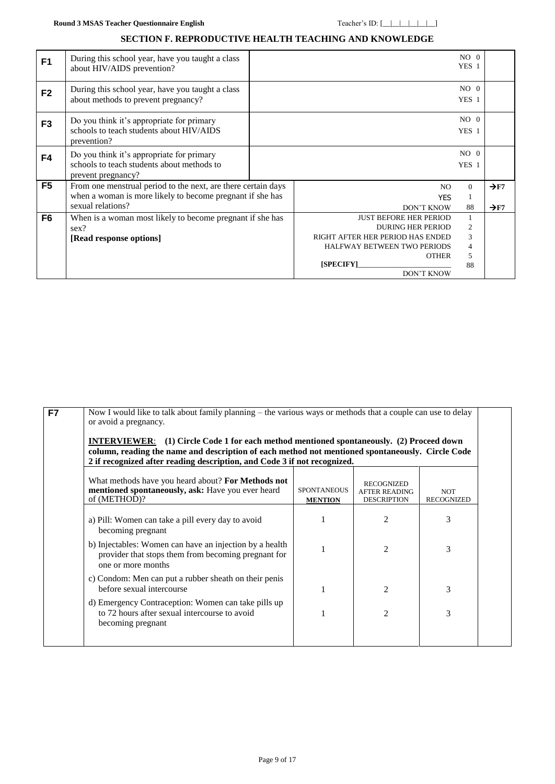### **SECTION F. REPRODUCTIVE HEALTH TEACHING AND KNOWLEDGE**

| F <sub>1</sub> | During this school year, have you taught a class<br>about HIV/AIDS prevention?                                                                  |                                                                                                                                                                                       | $NO$ 0<br>YES 1        |                                      |
|----------------|-------------------------------------------------------------------------------------------------------------------------------------------------|---------------------------------------------------------------------------------------------------------------------------------------------------------------------------------------|------------------------|--------------------------------------|
| F <sub>2</sub> | During this school year, have you taught a class<br>about methods to prevent pregnancy?                                                         |                                                                                                                                                                                       | $NO$ 0<br>YES 1        |                                      |
| F <sub>3</sub> | Do you think it's appropriate for primary<br>schools to teach students about HIV/AIDS<br>prevention?                                            |                                                                                                                                                                                       | $NO$ 0<br>YES 1        |                                      |
| F4             | Do you think it's appropriate for primary<br>schools to teach students about methods to<br>prevent pregnancy?                                   |                                                                                                                                                                                       | $NO$ 0<br>YES 1        |                                      |
| F <sub>5</sub> | From one menstrual period to the next, are there certain days<br>when a woman is more likely to become pregnant if she has<br>sexual relations? | NO.<br><b>YES</b><br><b>DON'T KNOW</b>                                                                                                                                                | $\Omega$<br>1<br>88    | $\rightarrow$ F7<br>$\rightarrow$ F7 |
| F6             | When is a woman most likely to become pregnant if she has<br>sex?<br>[Read response options]                                                    | <b>JUST BEFORE HER PERIOD</b><br><b>DURING HER PERIOD</b><br>RIGHT AFTER HER PERIOD HAS ENDED<br><b>HALFWAY BETWEEN TWO PERIODS</b><br><b>OTHER</b><br>[SPECIFY]<br><b>DON'T KNOW</b> | 2<br>3<br>4<br>5<br>88 |                                      |

<span id="page-8-0"></span>

| F7 | Now I would like to talk about family planning – the various ways or methods that a couple can use to delay<br>or avoid a pregnancy.<br><b>INTERVIEWER:</b> (1) Circle Code 1 for each method mentioned spontaneously. (2) Proceed down<br>column, reading the name and description of each method not mentioned spontaneously. Circle Code<br>2 if recognized after reading description, and Code 3 if not recognized. |                                      |                                                                 |                                 |  |  |  |  |  |
|----|-------------------------------------------------------------------------------------------------------------------------------------------------------------------------------------------------------------------------------------------------------------------------------------------------------------------------------------------------------------------------------------------------------------------------|--------------------------------------|-----------------------------------------------------------------|---------------------------------|--|--|--|--|--|
|    | What methods have you heard about? For Methods not<br>mentioned spontaneously, ask: Have you ever heard<br>of (METHOD)?                                                                                                                                                                                                                                                                                                 | <b>SPONTANEOUS</b><br><b>MENTION</b> | <b>RECOGNIZED</b><br><b>AFTER READING</b><br><b>DESCRIPTION</b> | <b>NOT</b><br><b>RECOGNIZED</b> |  |  |  |  |  |
|    | a) Pill: Women can take a pill every day to avoid<br>becoming pregnant                                                                                                                                                                                                                                                                                                                                                  |                                      | 2                                                               | 3                               |  |  |  |  |  |
|    | b) Injectables: Women can have an injection by a health<br>provider that stops them from becoming pregnant for<br>one or more months                                                                                                                                                                                                                                                                                    |                                      | $\mathfrak{D}$                                                  | 3                               |  |  |  |  |  |
|    | c) Condom: Men can put a rubber sheath on their penis<br>before sexual intercourse                                                                                                                                                                                                                                                                                                                                      |                                      | $\overline{c}$                                                  | 3                               |  |  |  |  |  |
|    | d) Emergency Contraception: Women can take pills up<br>to 72 hours after sexual intercourse to avoid<br>becoming pregnant                                                                                                                                                                                                                                                                                               |                                      | $\overline{2}$                                                  | 3                               |  |  |  |  |  |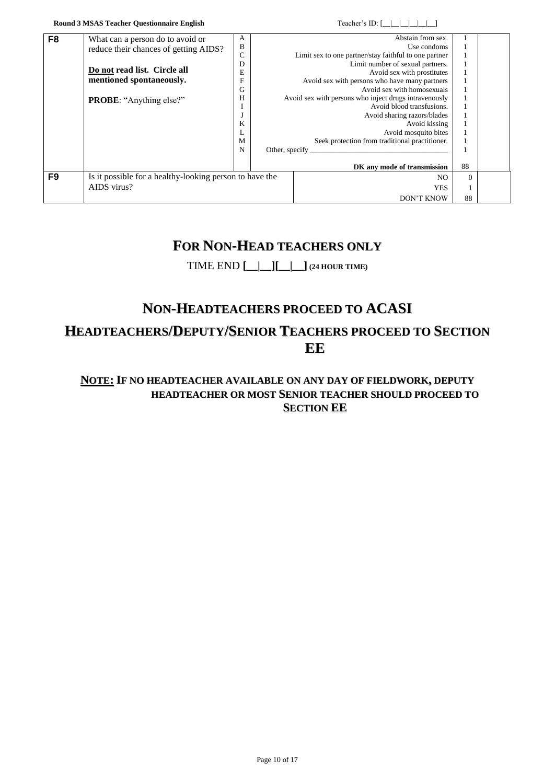| F <sub>8</sub> | What can a person do to avoid or                        | A            |                | Abstain from sex.                                     |          |  |
|----------------|---------------------------------------------------------|--------------|----------------|-------------------------------------------------------|----------|--|
|                | reduce their chances of getting AIDS?                   | B            |                | Use condoms                                           |          |  |
|                |                                                         | $\mathsf{C}$ |                | Limit sex to one partner/stay faithful to one partner |          |  |
|                |                                                         | D            |                | Limit number of sexual partners.                      |          |  |
|                | Do not read list. Circle all                            | E            |                | Avoid sex with prostitutes                            |          |  |
|                | mentioned spontaneously.                                | F            |                | Avoid sex with persons who have many partners         |          |  |
|                |                                                         | G            |                | Avoid sex with homosexuals                            |          |  |
|                | <b>PROBE:</b> "Anything else?"                          | Н            |                | Avoid sex with persons who inject drugs intravenously |          |  |
|                |                                                         |              |                | Avoid blood transfusions.                             |          |  |
|                |                                                         |              |                | Avoid sharing razors/blades                           |          |  |
|                |                                                         | K            |                | Avoid kissing                                         |          |  |
|                |                                                         |              |                | Avoid mosquito bites                                  |          |  |
|                |                                                         | M            |                | Seek protection from traditional practitioner.        |          |  |
|                |                                                         | N            | Other, specify |                                                       |          |  |
|                |                                                         |              |                |                                                       |          |  |
|                |                                                         |              |                | DK any mode of transmission                           | 88       |  |
| F9             | Is it possible for a healthy-looking person to have the |              |                | N <sub>O</sub>                                        | $\Omega$ |  |
|                | AIDS virus?                                             |              |                | <b>YES</b>                                            | - 1      |  |
|                |                                                         |              |                | <b>DON'T KNOW</b>                                     | 88       |  |

# **FOR NON-HEAD TEACHERS ONLY**

# TIME END **[\_\_|\_\_][\_\_|\_\_] (24 HOUR TIME)**

# **NON-HEADTEACHERS PROCEED TO ACASI**

# **HEADTEACHERS/DEPUTY/SENIOR TEACHERS PROCEED TO SECTION EE**

# **NOTE: IF NO HEADTEACHER AVAILABLE ON ANY DAY OF FIELDWORK, DEPUTY HEADTEACHER OR MOST SENIOR TEACHER SHOULD PROCEED TO SECTION EE**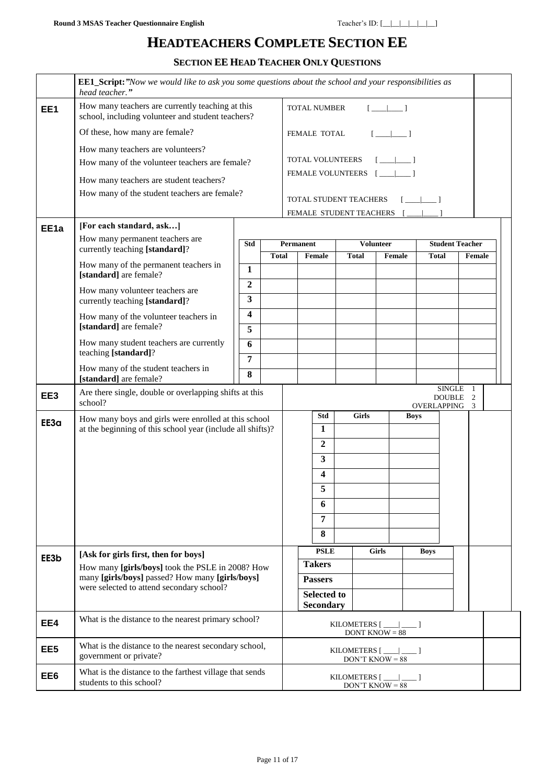# **HEADTEACHERS COMPLETE SECTION EE**

**SECTION EE HEAD TEACHER ONLY QUESTIONS**

|                  | <b>EE1_Script:</b> "Now we would like to ask you some questions about the school and your responsibilities as<br>head teacher." |                |              |                  |                           |              |                                               |             |              |                                  |  |
|------------------|---------------------------------------------------------------------------------------------------------------------------------|----------------|--------------|------------------|---------------------------|--------------|-----------------------------------------------|-------------|--------------|----------------------------------|--|
| EE1              | How many teachers are currently teaching at this<br>school, including volunteer and student teachers?                           |                |              |                  | <b>TOTAL NUMBER</b>       |              | $[-1]$                                        |             |              |                                  |  |
|                  | Of these, how many are female?                                                                                                  |                |              |                  | FEMALE TOTAL              |              | $\begin{bmatrix} 1 & 1 \end{bmatrix}$         |             |              |                                  |  |
|                  | How many teachers are volunteers?                                                                                               |                |              |                  |                           |              |                                               |             |              |                                  |  |
|                  | How many of the volunteer teachers are female?                                                                                  |                |              |                  | TOTAL VOLUNTEERS          |              |                                               |             |              |                                  |  |
|                  | How many teachers are student teachers?                                                                                         |                |              |                  |                           |              |                                               |             |              |                                  |  |
|                  | How many of the student teachers are female?                                                                                    |                |              |                  |                           |              |                                               |             |              |                                  |  |
|                  |                                                                                                                                 |                |              |                  | TOTAL STUDENT TEACHERS    |              |                                               |             |              |                                  |  |
|                  | [For each standard, ask]                                                                                                        |                |              |                  | FEMALE STUDENT TEACHERS [ |              |                                               |             |              |                                  |  |
| EE <sub>1a</sub> | How many permanent teachers are                                                                                                 |                |              |                  |                           |              |                                               |             |              |                                  |  |
|                  | currently teaching [standard]?                                                                                                  | Std            | <b>Total</b> | <b>Permanent</b> | Female                    | Total        | <b>Volunteer</b><br>Female                    |             | <b>Total</b> | <b>Student Teacher</b><br>Female |  |
|                  | How many of the permanent teachers in                                                                                           | $\mathbf{1}$   |              |                  |                           |              |                                               |             |              |                                  |  |
|                  | [standard] are female?                                                                                                          | $\mathbf{2}$   |              |                  |                           |              |                                               |             |              |                                  |  |
|                  | How many volunteer teachers are<br>currently teaching [standard]?                                                               | 3              |              |                  |                           |              |                                               |             |              |                                  |  |
|                  | How many of the volunteer teachers in                                                                                           | 4              |              |                  |                           |              |                                               |             |              |                                  |  |
|                  | [standard] are female?                                                                                                          | 5              |              |                  |                           |              |                                               |             |              |                                  |  |
|                  | How many student teachers are currently                                                                                         | 6              |              |                  |                           |              |                                               |             |              |                                  |  |
|                  | teaching [standard]?                                                                                                            | $\overline{7}$ |              |                  |                           |              |                                               |             |              |                                  |  |
|                  | How many of the student teachers in                                                                                             | 8              |              |                  |                           |              |                                               |             |              |                                  |  |
|                  | [standard] are female?                                                                                                          |                |              |                  |                           |              |                                               |             | SINGLE 1     |                                  |  |
| EE <sub>3</sub>  | Are there single, double or overlapping shifts at this<br>school?                                                               |                |              |                  |                           |              |                                               | OVERLAPPING | DOUBLE 2     | 3                                |  |
|                  | How many boys and girls were enrolled at this school                                                                            |                |              |                  | Std                       | <b>Girls</b> |                                               | <b>Boys</b> |              |                                  |  |
| EE3a             | at the beginning of this school year (include all shifts)?                                                                      |                |              |                  | 1                         |              |                                               |             |              |                                  |  |
|                  |                                                                                                                                 |                |              |                  | $\overline{2}$            |              |                                               |             |              |                                  |  |
|                  |                                                                                                                                 |                |              |                  | 3                         |              |                                               |             |              |                                  |  |
|                  |                                                                                                                                 |                |              |                  | 4                         |              |                                               |             |              |                                  |  |
|                  |                                                                                                                                 |                |              |                  | 5                         |              |                                               |             |              |                                  |  |
|                  |                                                                                                                                 |                |              |                  | 6                         |              |                                               |             |              |                                  |  |
|                  |                                                                                                                                 |                |              |                  | $\overline{7}$            |              |                                               |             |              |                                  |  |
|                  |                                                                                                                                 |                |              |                  | 8                         |              |                                               |             |              |                                  |  |
| EE3b             | [Ask for girls first, then for boys]                                                                                            |                |              |                  | <b>PSLE</b>               |              | Girls                                         | <b>Boys</b> |              |                                  |  |
|                  | How many [girls/boys] took the PSLE in 2008? How                                                                                |                |              |                  | <b>Takers</b>             |              |                                               |             |              |                                  |  |
|                  | many [girls/boys] passed? How many [girls/boys]<br>were selected to attend secondary school?                                    |                |              |                  | <b>Passers</b>            |              |                                               |             |              |                                  |  |
|                  |                                                                                                                                 |                |              |                  | <b>Selected to</b>        |              |                                               |             |              |                                  |  |
|                  |                                                                                                                                 |                |              |                  | Secondary                 |              |                                               |             |              |                                  |  |
| EE4              |                                                                                                                                 |                |              |                  |                           |              | KILOMETERS $[\_\_]\_\_$                       |             |              |                                  |  |
|                  | What is the distance to the nearest primary school?                                                                             |                |              |                  |                           |              | DONT KNOW $= 88$                              |             |              |                                  |  |
| EE <sub>5</sub>  | What is the distance to the nearest secondary school,<br>government or private?                                                 |                |              |                  |                           |              | KILOMETERS [ ___   ___ ]<br>DON'T KNOW = $88$ |             |              |                                  |  |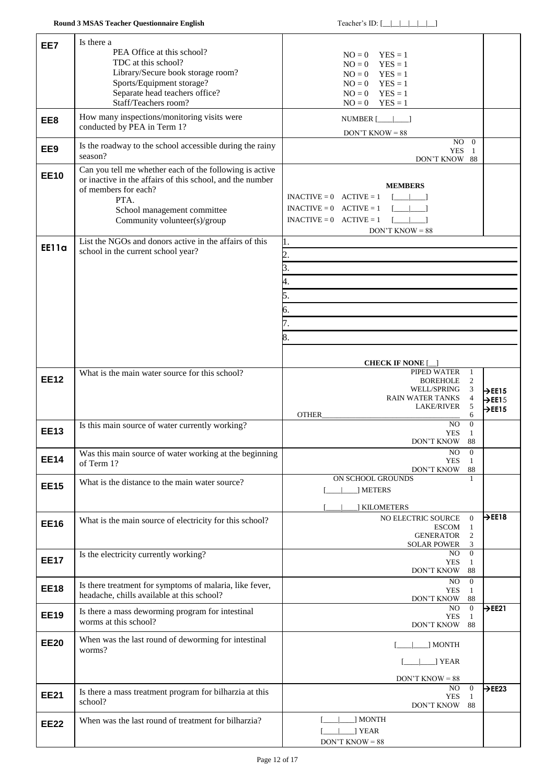| EE7          | Is there a                                                                                            |                                                                   |                            |
|--------------|-------------------------------------------------------------------------------------------------------|-------------------------------------------------------------------|----------------------------|
|              | PEA Office at this school?                                                                            | $NO = 0$<br>$YES = 1$                                             |                            |
|              | TDC at this school?<br>Library/Secure book storage room?                                              | $YES = 1$<br>$NO = 0$                                             |                            |
|              | Sports/Equipment storage?                                                                             | $YES = 1$<br>$NO = 0$<br>$NO = 0$ $YES = 1$                       |                            |
|              | Separate head teachers office?                                                                        | $YES = 1$<br>$NO = 0$                                             |                            |
|              | Staff/Teachers room?                                                                                  | $YES = 1$<br>$NO = 0$                                             |                            |
| EE8          | How many inspections/monitoring visits were                                                           | NUMBER $[\_\_\_\_\_\_\$ ]                                         |                            |
|              | conducted by PEA in Term 1?                                                                           | $DON'T$ KNOW = 88                                                 |                            |
| EE9          | Is the roadway to the school accessible during the rainy                                              | $NO$ 0<br><b>YES</b><br>-1                                        |                            |
|              | season?                                                                                               | DON'T KNOW 88                                                     |                            |
| <b>EE10</b>  | Can you tell me whether each of the following is active                                               |                                                                   |                            |
|              | or inactive in the affairs of this school, and the number<br>of members for each?                     | <b>MEMBERS</b>                                                    |                            |
|              | PTA.                                                                                                  | $INACTIVE = 0$ $ACTIVE = 1$<br>$\Box$                             |                            |
|              | School management committee                                                                           | $\mathsf{L}=\mathsf{L}=\mathsf{L}$<br>$INACTIVE = 0$ $ACTIVE = 1$ |                            |
|              | Community volunteer(s)/group                                                                          | $I = I = 1$<br>$INACTIVE = 0$ $ACTIVE = 1$<br>$DON'T$ KNOW = 88   |                            |
|              | List the NGOs and donors active in the affairs of this                                                | ı.                                                                |                            |
| <b>EE11a</b> | school in the current school year?                                                                    | 2.                                                                |                            |
|              |                                                                                                       | 3.                                                                |                            |
|              |                                                                                                       | 4.                                                                |                            |
|              |                                                                                                       | 5.                                                                |                            |
|              |                                                                                                       | 6.                                                                |                            |
|              |                                                                                                       | 7.                                                                |                            |
|              |                                                                                                       |                                                                   |                            |
|              |                                                                                                       | 8.                                                                |                            |
|              |                                                                                                       | <b>CHECK IF NONE</b> [                                            |                            |
|              | What is the main water source for this school?                                                        | PIPED WATER<br>1                                                  |                            |
| <b>EE12</b>  |                                                                                                       | 2<br><b>BOREHOLE</b><br>WELL/SPRING<br>3                          | $\rightarrow$ EE15         |
|              |                                                                                                       | $\overline{4}$<br><b>RAIN WATER TANKS</b>                         | $\rightarrow$ EE15         |
|              |                                                                                                       | 5<br>LAKE/RIVER<br>OTHER<br>6                                     | $\rightarrow$ EE15         |
| <b>EE13</b>  | Is this main source of water currently working?                                                       | $\Omega$<br>NO.                                                   |                            |
|              |                                                                                                       | <b>YES</b><br>1<br>DON'T KNOW<br>- 88                             |                            |
| <b>EE14</b>  | Was this main source of water working at the beginning                                                | NO<br>$\boldsymbol{0}$                                            |                            |
|              | of Term 1?                                                                                            | YES<br>-1<br>88<br>DON'T KNOW                                     |                            |
| <b>EE15</b>  | What is the distance to the main water source?                                                        | ON SCHOOL GROUNDS<br>1                                            |                            |
|              |                                                                                                       | 1 METERS                                                          |                            |
|              |                                                                                                       | ] KILOMETERS                                                      |                            |
| <b>EE16</b>  | What is the main source of electricity for this school?                                               | NO ELECTRIC SOURCE<br>$\mathbf{0}$<br><b>ESCOM</b><br>1           | $\rightarrow$ EE18         |
|              |                                                                                                       | <b>GENERATOR</b><br>$\overline{c}$                                |                            |
|              | Is the electricity currently working?                                                                 | <b>SOLAR POWER</b><br>3<br>$\overline{0}$<br>NO.                  |                            |
| <b>EE17</b>  |                                                                                                       | <b>YES</b><br>1                                                   |                            |
|              |                                                                                                       | DON'T KNOW<br>88<br>NO.<br>$\overline{0}$                         |                            |
| <b>EE18</b>  | Is there treatment for symptoms of malaria, like fever,<br>headache, chills available at this school? | <b>YES</b><br>1                                                   |                            |
|              |                                                                                                       | DON'T KNOW<br>88<br>$\overline{0}$<br>NO.                         | $\overline{\mathsf{PE21}}$ |
| <b>EE19</b>  | Is there a mass deworming program for intestinal<br>worms at this school?                             | <b>YES</b><br>1<br><b>DON'T KNOW</b><br>88                        |                            |
| <b>EE20</b>  | When was the last round of deworming for intestinal                                                   |                                                                   |                            |
|              | worms?                                                                                                | ] MONTH                                                           |                            |
|              |                                                                                                       | ] YEAR                                                            |                            |
|              |                                                                                                       | $DON'T$ KNOW = 88                                                 |                            |
| <b>EE21</b>  |                                                                                                       | NO.<br>$\overline{0}$                                             | $\rightarrow$ EE23         |
|              | Is there a mass treatment program for bilharzia at this                                               |                                                                   |                            |
|              | school?                                                                                               | <b>YES</b><br>$\mathbf{1}$<br>DON'T KNOW 88                       |                            |
|              | When was the last round of treatment for bilharzia?                                                   | ] MONTH                                                           |                            |
| <b>EE22</b>  |                                                                                                       | ] YEAR<br>$DON'T$ KNOW = 88                                       |                            |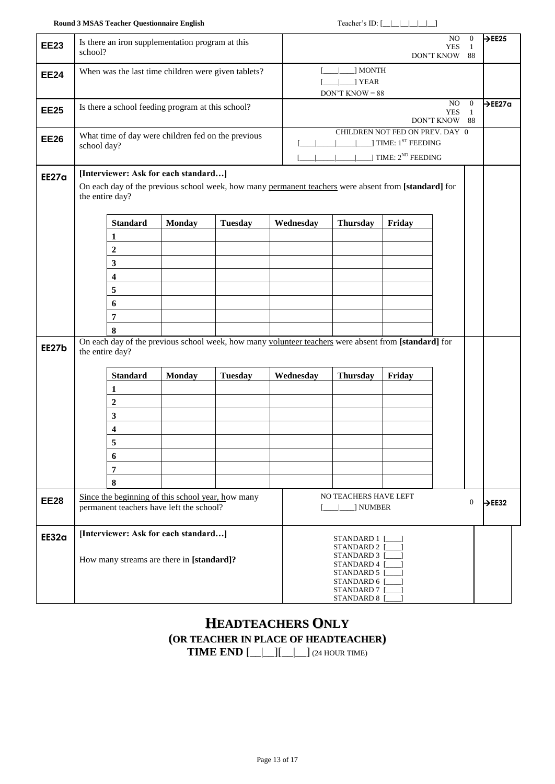| <b>EE23</b>  | school?         |                  | Is there an iron supplementation program at this                                              |                                                     |                                                                                                      |                                                                                              |                                                                    | NO.<br><b>YES</b><br>DON'T KNOW 88 | $\overline{0}$<br>1            | $\rightarrow$ EE25  |
|--------------|-----------------|------------------|-----------------------------------------------------------------------------------------------|-----------------------------------------------------|------------------------------------------------------------------------------------------------------|----------------------------------------------------------------------------------------------|--------------------------------------------------------------------|------------------------------------|--------------------------------|---------------------|
| <b>EE24</b>  |                 |                  |                                                                                               | When was the last time children were given tablets? |                                                                                                      | J MONTH<br>] YEAR<br>$DON'T$ KNOW = 88                                                       |                                                                    |                                    |                                |                     |
| <b>EE25</b>  |                 |                  | Is there a school feeding program at this school?                                             |                                                     |                                                                                                      |                                                                                              |                                                                    | NO.<br><b>YES</b><br>DON'T KNOW 88 | $\overline{0}$<br>$\mathbf{1}$ | $\rightarrow$ EE27a |
| <b>EE26</b>  | school day?     |                  |                                                                                               | What time of day were children fed on the previous  |                                                                                                      | CHILDREN NOT FED ON PREV. DAY 0                                                              | ] TIME: 1 <sup>ST</sup> FEEDING<br>] TIME: 2 <sup>ND</sup> FEEDING |                                    |                                |                     |
| <b>EE27a</b> | the entire day? |                  | [Interviewer: Ask for each standard]                                                          |                                                     | On each day of the previous school week, how many permanent teachers were absent from [standard] for |                                                                                              |                                                                    |                                    |                                |                     |
|              |                 | <b>Standard</b>  | <b>Monday</b>                                                                                 | <b>Tuesday</b>                                      | Wednesday                                                                                            | <b>Thursday</b>                                                                              | Friday                                                             |                                    |                                |                     |
|              |                 | 1                |                                                                                               |                                                     |                                                                                                      |                                                                                              |                                                                    |                                    |                                |                     |
|              |                 | $\mathbf 2$      |                                                                                               |                                                     |                                                                                                      |                                                                                              |                                                                    |                                    |                                |                     |
|              |                 | $\mathbf{3}$     |                                                                                               |                                                     |                                                                                                      |                                                                                              |                                                                    |                                    |                                |                     |
|              |                 | 4                |                                                                                               |                                                     |                                                                                                      |                                                                                              |                                                                    |                                    |                                |                     |
|              |                 | 5                |                                                                                               |                                                     |                                                                                                      |                                                                                              |                                                                    |                                    |                                |                     |
|              |                 | 6                |                                                                                               |                                                     |                                                                                                      |                                                                                              |                                                                    |                                    |                                |                     |
|              |                 | $\overline{7}$   |                                                                                               |                                                     |                                                                                                      |                                                                                              |                                                                    |                                    |                                |                     |
|              |                 | 8                |                                                                                               |                                                     |                                                                                                      |                                                                                              |                                                                    |                                    |                                |                     |
| EE27b        | the entire day? |                  |                                                                                               |                                                     | On each day of the previous school week, how many volunteer teachers were absent from [standard] for |                                                                                              |                                                                    |                                    |                                |                     |
|              |                 | <b>Standard</b>  | <b>Monday</b>                                                                                 | <b>Tuesday</b>                                      | Wednesday                                                                                            | <b>Thursday</b>                                                                              | Friday                                                             |                                    |                                |                     |
|              |                 | 1                |                                                                                               |                                                     |                                                                                                      |                                                                                              |                                                                    |                                    |                                |                     |
|              |                 | $\boldsymbol{2}$ |                                                                                               |                                                     |                                                                                                      |                                                                                              |                                                                    |                                    |                                |                     |
|              |                 | 3                |                                                                                               |                                                     |                                                                                                      |                                                                                              |                                                                    |                                    |                                |                     |
|              |                 | 4                |                                                                                               |                                                     |                                                                                                      |                                                                                              |                                                                    |                                    |                                |                     |
|              |                 | 5                |                                                                                               |                                                     |                                                                                                      |                                                                                              |                                                                    |                                    |                                |                     |
|              |                 | 6                |                                                                                               |                                                     |                                                                                                      |                                                                                              |                                                                    |                                    |                                |                     |
|              |                 | $\overline{7}$   |                                                                                               |                                                     |                                                                                                      |                                                                                              |                                                                    |                                    |                                |                     |
|              |                 | $\bf{8}$         |                                                                                               |                                                     |                                                                                                      |                                                                                              |                                                                    |                                    |                                |                     |
| <b>EE28</b>  |                 |                  | Since the beginning of this school year, how many<br>permanent teachers have left the school? |                                                     |                                                                                                      | NO TEACHERS HAVE LEFT<br>  NUMBER                                                            |                                                                    |                                    | $\mathbf{0}$                   | $\rightarrow$ EE32  |
| EE32a        |                 |                  | [Interviewer: Ask for each standard]                                                          |                                                     |                                                                                                      | STANDARD 1<br>STANDARD 2 [                                                                   |                                                                    |                                    |                                |                     |
|              |                 |                  | How many streams are there in [standard]?                                                     |                                                     |                                                                                                      | STANDARD 3 [<br>STANDARD 4 [<br>STANDARD 5 [<br>STANDARD 6 [<br>STANDARD 7 [<br>STANDARD 8 [ |                                                                    |                                    |                                |                     |

# **HEADTEACHERS ONLY (OR TEACHER IN PLACE OF HEADTEACHER) TIME END** [\_\_|\_\_][\_\_|\_\_] (24 HOUR TIME)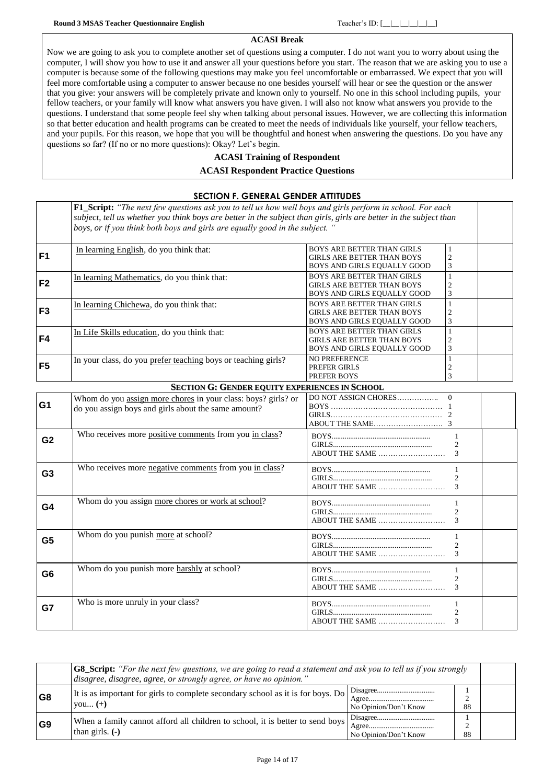### **ACASI Break**

Now we are going to ask you to complete another set of questions using a computer. I do not want you to worry about using the computer, I will show you how to use it and answer all your questions before you start. The reason that we are asking you to use a computer is because some of the following questions may make you feel uncomfortable or embarrassed. We expect that you will feel more comfortable using a computer to answer because no one besides yourself will hear or see the question or the answer that you give: your answers will be completely private and known only to yourself. No one in this school including pupils, your fellow teachers, or your family will know what answers you have given. I will also not know what answers you provide to the questions. I understand that some people feel shy when talking about personal issues. However, we are collecting this information so that better education and health programs can be created to meet the needs of individuals like yourself, your fellow teachers, and your pupils. For this reason, we hope that you will be thoughtful and honest when answering the questions. Do you have any questions so far? (If no or no more questions): Okay? Let's begin.

### **ACASI Training of Respondent**

#### **ACASI Respondent Practice Questions**

|                | <b>SECTION F. GENERAL GENDER ATTITUDES</b>                                                                                                                                                                                                                                                                             |                                                                                                       |  |
|----------------|------------------------------------------------------------------------------------------------------------------------------------------------------------------------------------------------------------------------------------------------------------------------------------------------------------------------|-------------------------------------------------------------------------------------------------------|--|
|                | <b>F1_Script:</b> "The next few questions ask you to tell us how well boys and girls perform in school. For each<br>subject, tell us whether you think boys are better in the subject than girls, girls are better in the subject than<br>boys, or if you think both boys and girls are equally good in the subject. " |                                                                                                       |  |
| F <sub>1</sub> | In learning English, do you think that:                                                                                                                                                                                                                                                                                | <b>BOYS ARE BETTER THAN GIRLS</b><br><b>GIRLS ARE BETTER THAN BOYS</b><br>BOYS AND GIRLS EQUALLY GOOD |  |
| F <sub>2</sub> | In learning Mathematics, do you think that:                                                                                                                                                                                                                                                                            | <b>BOYS ARE BETTER THAN GIRLS</b><br><b>GIRLS ARE BETTER THAN BOYS</b><br>BOYS AND GIRLS EQUALLY GOOD |  |
| F <sub>3</sub> | In learning Chichewa, do you think that:                                                                                                                                                                                                                                                                               | <b>BOYS ARE BETTER THAN GIRLS</b><br>GIRLS ARE BETTER THAN BOYS<br>BOYS AND GIRLS EQUALLY GOOD        |  |
| F4             | In Life Skills education, do you think that:                                                                                                                                                                                                                                                                           | <b>BOYS ARE BETTER THAN GIRLS</b><br><b>GIRLS ARE BETTER THAN BOYS</b><br>BOYS AND GIRLS EQUALLY GOOD |  |
| F <sub>5</sub> | In your class, do you prefer teaching boys or teaching girls?                                                                                                                                                                                                                                                          | <b>NO PREFERENCE</b><br>PREFER GIRLS<br>PREFER BOYS                                                   |  |

#### **SECTION G: GENDER EQUITY EXPERIENCES IN SCHOOL**

| G <sub>1</sub> | Whom do you assign more chores in your class: boys? girls? or<br>do you assign boys and girls about the same amount? |                             |
|----------------|----------------------------------------------------------------------------------------------------------------------|-----------------------------|
| G <sub>2</sub> | Who receives more positive comments from you in class?                                                               |                             |
| G <sub>3</sub> | Who receives more negative comments from you in class?                                                               | $\mathcal{D}_{\mathcal{L}}$ |
| G4             | Whom do you assign more chores or work at school?                                                                    | 2<br>ABOUT THE SAME         |
| G <sub>5</sub> | Whom do you punish more at school?                                                                                   | $\mathcal{L}$               |
| G <sub>6</sub> | Whom do you punish more harshly at school?                                                                           |                             |
| G7             | Who is more unruly in your class?                                                                                    | ABOUT THE SAME              |

|                | <b>G8_Script:</b> "For the next few questions, we are going to read a statement and ask you to tell us if you strongly<br>disagree, disagree, agree, or strongly agree, or have no opinion." |                       |    |  |  |  |
|----------------|----------------------------------------------------------------------------------------------------------------------------------------------------------------------------------------------|-----------------------|----|--|--|--|
| G8             | It is as important for girls to complete secondary school as it is for boys. Do<br>$you (+)$                                                                                                 | No Opinion/Don't Know | 88 |  |  |  |
| G <sub>9</sub> | When a family cannot afford all children to school, it is better to send boys<br>than girls. $(-)$                                                                                           | No Opinion/Don't Know | 88 |  |  |  |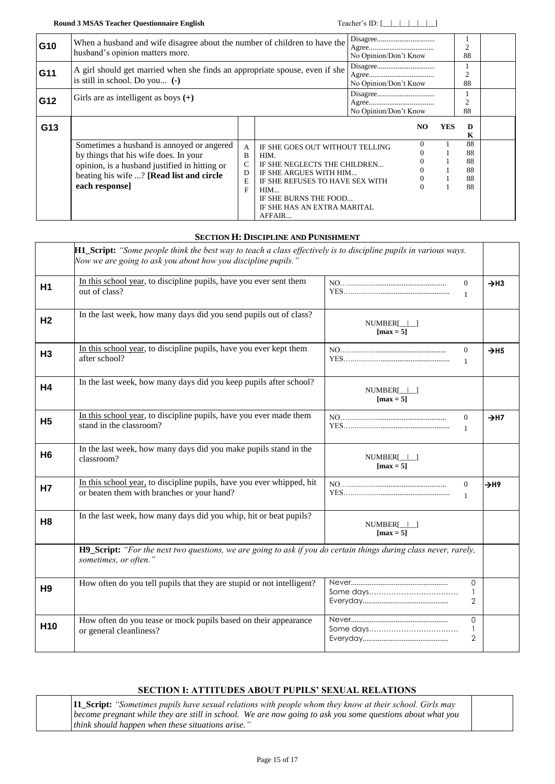| G10 | When a husband and wife disagree about the number of children to have the<br>husband's opinion matters more.                                                                                      |                       |                                                                                                                                                                                                               | No Opinion/Don't Know |                       |     | 2<br>88                          |  |
|-----|---------------------------------------------------------------------------------------------------------------------------------------------------------------------------------------------------|-----------------------|---------------------------------------------------------------------------------------------------------------------------------------------------------------------------------------------------------------|-----------------------|-----------------------|-----|----------------------------------|--|
| G11 | A girl should get married when she finds an appropriate spouse, even if she<br>is still in school. Do you (-)                                                                                     |                       |                                                                                                                                                                                                               |                       | No Opinion/Don't Know |     | 2<br>88                          |  |
| G12 | Girls are as intelligent as boys $(+)$                                                                                                                                                            |                       |                                                                                                                                                                                                               | No Opinion/Don't Know |                       |     | $\overline{c}$<br>88             |  |
| G13 |                                                                                                                                                                                                   |                       |                                                                                                                                                                                                               |                       | NO                    | YES | D<br>K                           |  |
|     | Sometimes a husband is annoyed or angered<br>by things that his wife does. In your<br>opinion, is a husband justified in hitting or<br>beating his wife ? [Read list and circle<br>each response] | A<br>B<br>D<br>E<br>F | IF SHE GOES OUT WITHOUT TELLING<br>HIM.<br>IF SHE NEGLECTS THE CHILDREN<br>IF SHE ARGUES WITH HIM<br>IF SHE REFUSES TO HAVE SEX WITH<br>HIM<br>IF SHE BURNS THE FOOD<br>IF SHE HAS AN EXTRA MARITAL<br>AFFAIR |                       | 0                     |     | 88<br>88<br>88<br>88<br>88<br>88 |  |

### **SECTION H: DISCIPLINE AND PUNISHMENT**

<span id="page-14-1"></span><span id="page-14-0"></span>

|                 | H1_Script: "Some people think the best way to teach a class effectively is to discipline pupils in various ways.<br>Now we are going to ask you about how you discipline pupils.' |                                             |                              |
|-----------------|-----------------------------------------------------------------------------------------------------------------------------------------------------------------------------------|---------------------------------------------|------------------------------|
| H <sub>1</sub>  | In this school year, to discipline pupils, have you ever sent them<br>out of class?                                                                                               | $\Omega$<br>$\mathbf{1}$                    | $\rightarrow$ H3             |
| H <sub>2</sub>  | In the last week, how many days did you send pupils out of class?                                                                                                                 | $NUMBER[\_]\_]$<br>$\lceil \max = 5 \rceil$ |                              |
| H <sub>3</sub>  | In this school year, to discipline pupils, have you ever kept them<br>after school?                                                                                               | $\mathbf{0}$<br>$\mathbf{1}$                | $\rightarrow$ H <sub>5</sub> |
| <b>H4</b>       | In the last week, how many days did you keep pupils after school?                                                                                                                 | $NUMBER[\_]\_$<br>$\lceil \max = 5 \rceil$  |                              |
| <b>H5</b>       | In this school year, to discipline pupils, have you ever made them<br>stand in the classroom?                                                                                     | $\theta$<br>$\mathbf{1}$                    | $\rightarrow$ H7             |
| H <sub>6</sub>  | In the last week, how many days did you make pupils stand in the<br>classroom?                                                                                                    | $NUMBER[\_]\_$<br>$\lceil \max = 5 \rceil$  |                              |
| Н7              | In this school year, to discipline pupils, have you ever whipped, hit<br>or beaten them with branches or your hand?                                                               | $\overline{0}$<br>$\mathbf{1}$              | $\rightarrow$ H9             |
| H <sub>8</sub>  | In the last week, how many days did you whip, hit or beat pupils?                                                                                                                 | NUMBER[    <br>$\lceil \max = 5 \rceil$     |                              |
|                 | H9_Script: "For the next two questions, we are going to ask if you do certain things during class never, rarely,<br>sometimes, or often."                                         |                                             |                              |
| H <sub>9</sub>  | How often do you tell pupils that they are stupid or not intelligent?                                                                                                             | $\Omega$<br>2                               |                              |
| H <sub>10</sub> | How often do you tease or mock pupils based on their appearance<br>or general cleanliness?                                                                                        | $\Omega$<br>$\mathbf{1}$<br>$\overline{2}$  |                              |

### **SECTION I: ATTITUDES ABOUT PUPILS' SEXUAL RELATIONS**

<span id="page-14-2"></span>

| <b>II_Script:</b> "Sometimes pupils have sexual relations with people whom they know at their school. Girls may |  |
|-----------------------------------------------------------------------------------------------------------------|--|
| become pregnant while they are still in school. We are now going to ask you some questions about what you       |  |
| $\vert$ think should happen when these situations arise."                                                       |  |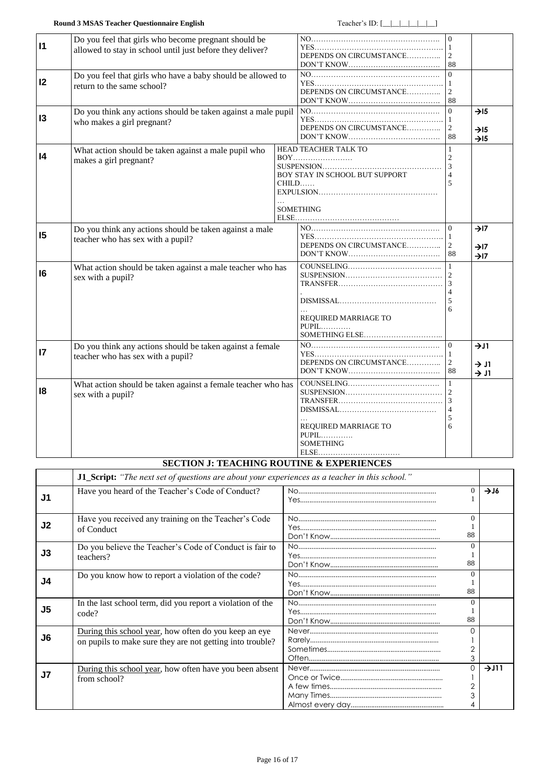<span id="page-15-0"></span>

| $\vert$ 11      | Do you feel that girls who become pregnant should be<br>allowed to stay in school until just before they deliver?<br>Do you feel that girls who have a baby should be allowed to |  | DEPENDS ON CIRCUMSTANCE                                                                                           | $\Omega$<br>88                                |                                                          |
|-----------------|----------------------------------------------------------------------------------------------------------------------------------------------------------------------------------|--|-------------------------------------------------------------------------------------------------------------------|-----------------------------------------------|----------------------------------------------------------|
| 12              | return to the same school?                                                                                                                                                       |  | DEPENDS ON CIRCUMSTANCE                                                                                           | $\vert$ 1<br>88                               |                                                          |
| 13              | Do you think any actions should be taken against a male pupil<br>who makes a girl pregnant?                                                                                      |  | DEPENDS ON CIRCUMSTANCE                                                                                           | $\Omega$<br>$\vert$ 1<br>$\overline{2}$<br>88 | $\rightarrow$ 15<br>$\rightarrow$ 15<br>$\rightarrow$ 15 |
| 4               | What action should be taken against a male pupil who<br>makes a girl pregnant?                                                                                                   |  | HEAD TEACHER TALK TO<br>BOY STAY IN SCHOOL BUT SUPPORT<br>$CHILD$<br><b>SOMETHING</b>                             | $\overline{3}$<br>$\overline{5}$              |                                                          |
| 15              | Do you think any actions should be taken against a male<br>teacher who has sex with a pupil?                                                                                     |  | DEPENDS ON CIRCUMSTANCE                                                                                           | $\Omega$<br>  1<br>$\overline{2}$<br>88       | $\rightarrow$ I7<br>$\rightarrow$ I7<br>$\rightarrow$ I7 |
| 6               | What action should be taken against a male teacher who has<br>sex with a pupil?                                                                                                  |  | REQUIRED MARRIAGE TO<br>$PUPIL$                                                                                   | 5<br>6                                        |                                                          |
| $\overline{17}$ | Do you think any actions should be taken against a female<br>teacher who has sex with a pupil?                                                                                   |  | DEPENDS ON CIRCUMSTANCE                                                                                           | $\Omega$<br>-1<br>$\overline{2}$<br>88        | $\rightarrow$ J1<br>$\rightarrow$ J1<br>$\rightarrow$ J1 |
| 18              | What action should be taken against a female teacher who has<br>sex with a pupil?                                                                                                |  | REQUIRED MARRIAGE TO<br>PUPIL<br><b>SOMETHING</b><br>${\bf ELSE}.\dots.\dots.\dots.\dots.\dots.\dots.\dots.\dots$ | 5<br>6                                        |                                                          |

## **SECTION J: TEACHING ROUTINE & EXPERIENCES**

<span id="page-15-2"></span><span id="page-15-1"></span>

|                | J1_Script: "The next set of questions are about your experiences as a teacher in this school."                     |  |                                 |      |
|----------------|--------------------------------------------------------------------------------------------------------------------|--|---------------------------------|------|
| J1             | Have you heard of the Teacher's Code of Conduct?                                                                   |  | 0                               | 716  |
| J <sub>2</sub> | Have you received any training on the Teacher's Code<br>of Conduct                                                 |  | $\Omega$<br>88                  |      |
| J3             | Do you believe the Teacher's Code of Conduct is fair to<br>teachers?                                               |  | $\Omega$<br>88                  |      |
| J4             | Do you know how to report a violation of the code?                                                                 |  | $\Omega$<br>88                  |      |
| J <sub>5</sub> | In the last school term, did you report a violation of the<br>code?                                                |  | $\Omega$<br>88                  |      |
| J6             | During this school year, how often do you keep an eye<br>on pupils to make sure they are not getting into trouble? |  | O<br>$\overline{2}$<br>3        |      |
| J <sub>7</sub> | During this school year, how often have you been absent<br>from school?                                            |  | $\Omega$<br>$\overline{2}$<br>3 | 7J11 |